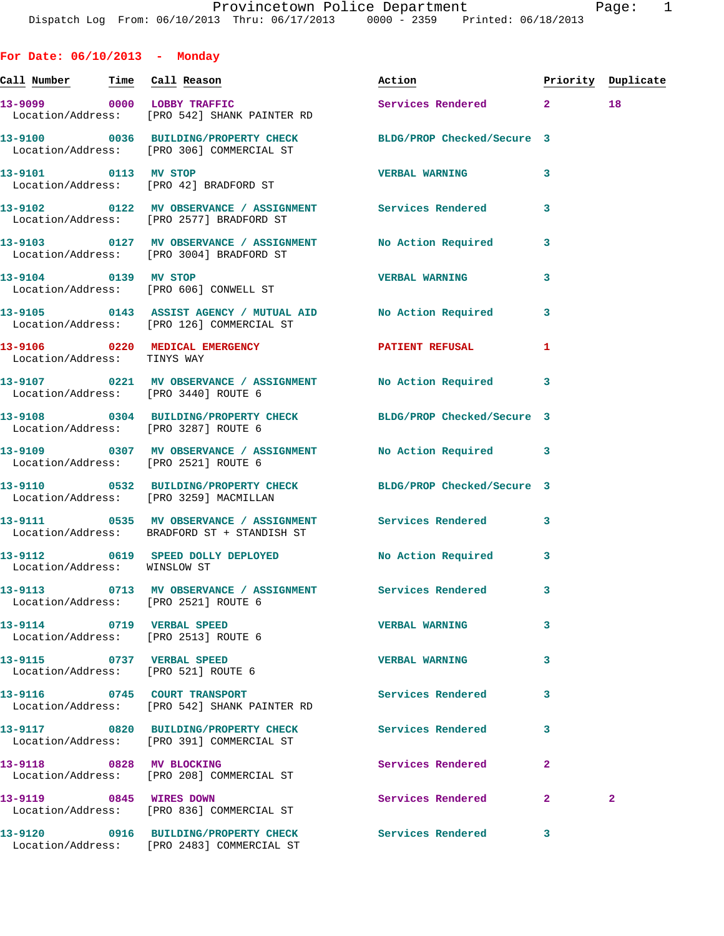**For Date: 06/10/2013 - Monday** Call Number Time Call Reason **Reason Action Action** Priority Duplicate **13-9099 0000 LOBBY TRAFFIC Services Rendered 2 18**  Location/Address: [PRO 542] SHANK PAINTER RD **13-9100 0036 BUILDING/PROPERTY CHECK BLDG/PROP Checked/Secure 3**  Location/Address: [PRO 306] COMMERCIAL ST **13-9101 0113 MV STOP VERBAL WARNING 3**  Location/Address: [PRO 42] BRADFORD ST **13-9102 0122 MV OBSERVANCE / ASSIGNMENT Services Rendered 3**  Location/Address: [PRO 2577] BRADFORD ST **13-9103 0127 MV OBSERVANCE / ASSIGNMENT No Action Required 3**  Location/Address: [PRO 3004] BRADFORD ST **13-9104 0139 MV STOP VERBAL WARNING 3**  Location/Address: [PRO 606] CONWELL ST **13-9105 0143 ASSIST AGENCY / MUTUAL AID No Action Required 3**  Location/Address: [PRO 126] COMMERCIAL ST 13-9106 0220 MEDICAL EMERGENCY **PATIENT REFUSAL** 1 Location/Address: TINYS WAY **13-9107 0221 MV OBSERVANCE / ASSIGNMENT No Action Required 3**  Location/Address: [PRO 3440] ROUTE 6 **13-9108 0304 BUILDING/PROPERTY CHECK BLDG/PROP Checked/Secure 3**  Location/Address: [PRO 3287] ROUTE 6 **13-9109 0307 MV OBSERVANCE / ASSIGNMENT No Action Required 3**  Location/Address: [PRO 2521] ROUTE 6 **13-9110 0532 BUILDING/PROPERTY CHECK BLDG/PROP Checked/Secure 3**  Location/Address: [PRO 3259] MACMILLAN **13-9111 0535 MV OBSERVANCE / ASSIGNMENT Services Rendered 3**  Location/Address: BRADFORD ST + STANDISH ST **13-9112 0619 SPEED DOLLY DEPLOYED No Action Required 3**  Location/Address: WINSLOW ST **13-9113 0713 MV OBSERVANCE / ASSIGNMENT Services Rendered 3**  Location/Address: [PRO 2521] ROUTE 6 **13-9114 0719 VERBAL SPEED VERBAL WARNING 3**  Location/Address: [PRO 2513] ROUTE 6 **13-9115 0737 VERBAL SPEED VERBAL WARNING 3**  Location/Address: [PRO 521] ROUTE 6 **13-9116 0745 COURT TRANSPORT Services Rendered 3**  Location/Address: [PRO 542] SHANK PAINTER RD **13-9117 0820 BUILDING/PROPERTY CHECK Services Rendered 3**  Location/Address: [PRO 391] COMMERCIAL ST **13-9118 0828 MV BLOCKING Services Rendered 2** 

 Location/Address: [PRO 208] COMMERCIAL ST **13-9119 0845 WIRES DOWN Services Rendered 2 2**  Location/Address: [PRO 836] COMMERCIAL ST **13-9120 0916 BUILDING/PROPERTY CHECK Services Rendered 3**  Location/Address: [PRO 2483] COMMERCIAL ST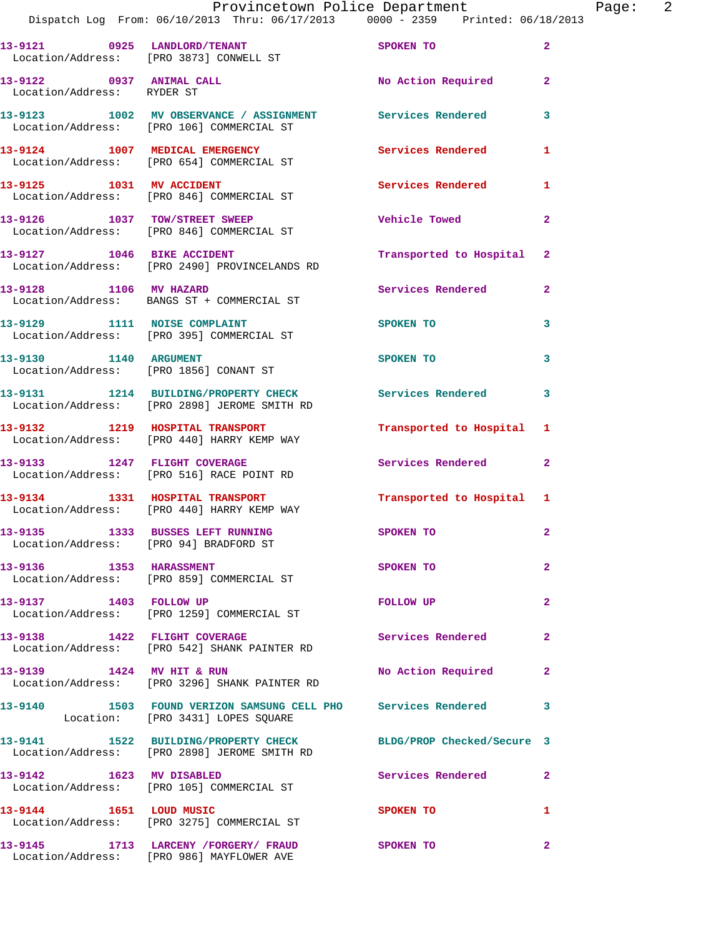|                                                        | Provincetown Police Department                                                                                  |                           |                         |
|--------------------------------------------------------|-----------------------------------------------------------------------------------------------------------------|---------------------------|-------------------------|
|                                                        | Dispatch Log From: 06/10/2013 Thru: 06/17/2013 0000 - 2359 Printed: 06/18/2013                                  |                           |                         |
|                                                        | 13-9121 0925 LANDLORD/TENANT<br>Location/Address: [PRO 3873] CONWELL ST                                         | SPOKEN TO                 | $\overline{a}$          |
| 13-9122 0937 ANIMAL CALL<br>Location/Address: RYDER ST |                                                                                                                 | No Action Required        | $\mathbf{2}$            |
|                                                        | 13-9123 1002 MV OBSERVANCE / ASSIGNMENT Services Rendered<br>Location/Address: [PRO 106] COMMERCIAL ST          |                           | 3                       |
|                                                        | 13-9124 1007 MEDICAL EMERGENCY<br>Location/Address: [PRO 654] COMMERCIAL ST                                     | <b>Services Rendered</b>  | 1                       |
| 13-9125 1031 MV ACCIDENT                               | Location/Address: [PRO 846] COMMERCIAL ST                                                                       | Services Rendered         | 1                       |
|                                                        | 13-9126 1037 TOW/STREET SWEEP<br>Location/Address: [PRO 846] COMMERCIAL ST                                      | <b>Vehicle Towed</b>      | $\overline{\mathbf{2}}$ |
| 13-9127 1046 BIKE ACCIDENT                             | Location/Address: [PRO 2490] PROVINCELANDS RD                                                                   | Transported to Hospital   | $\mathbf{2}$            |
| 13-9128 1106 MV HAZARD                                 | Location/Address: BANGS ST + COMMERCIAL ST                                                                      | Services Rendered         | $\overline{\mathbf{2}}$ |
| 13-9129 1111 NOISE COMPLAINT                           | Location/Address: [PRO 395] COMMERCIAL ST                                                                       | SPOKEN TO                 | 3                       |
| 13-9130 1140 ARGUMENT                                  | Location/Address: [PRO 1856] CONANT ST                                                                          | SPOKEN TO                 | 3                       |
|                                                        | 13-9131 1214 BUILDING/PROPERTY CHECK<br>Location/Address: [PRO 2898] JEROME SMITH RD                            | <b>Services Rendered</b>  | 3                       |
|                                                        | 13-9132 1219 HOSPITAL TRANSPORT<br>Location/Address: [PRO 440] HARRY KEMP WAY                                   | Transported to Hospital   | 1                       |
|                                                        | 13-9133 1247 FLIGHT COVERAGE<br>Location/Address: [PRO 516] RACE POINT RD                                       | Services Rendered         | $\overline{\mathbf{2}}$ |
|                                                        | 13-9134 1331 HOSPITAL TRANSPORT<br>Location/Address: [PRO 440] HARRY KEMP WAY                                   | Transported to Hospital 1 |                         |
| Location/Address: [PRO 94] BRADFORD ST                 | 13-9135 1333 BUSSES LEFT RUNNING                                                                                | SPOKEN TO                 | $\mathbf{2}$            |
| 13-9136 1353 HARASSMENT                                | Location/Address: [PRO 859] COMMERCIAL ST                                                                       | SPOKEN TO                 | $\overline{a}$          |
| 13-9137 1403 FOLLOW UP                                 | Location/Address: [PRO 1259] COMMERCIAL ST                                                                      | FOLLOW UP                 | $\overline{a}$          |
|                                                        | 13-9138 1422 FLIGHT COVERAGE<br>Location/Address: [PRO 542] SHANK PAINTER RD                                    | Services Rendered         | $\overline{\mathbf{2}}$ |
| 13-9139 1424 MV HIT & RUN                              | Location/Address: [PRO 3296] SHANK PAINTER RD                                                                   | No Action Required        | $\mathbf{2}$            |
|                                                        | 13-9140 1503 FOUND VERIZON SAMSUNG CELL PHO Services Rendered<br>Location: [PRO 3431] LOPES SQUARE              |                           | 3                       |
|                                                        | 13-9141 1522 BUILDING/PROPERTY CHECK BLDG/PROP Checked/Secure 3<br>Location/Address: [PRO 2898] JEROME SMITH RD |                           |                         |
| 13-9142 1623 MV DISABLED                               | Location/Address: [PRO 105] COMMERCIAL ST                                                                       | Services Rendered         | $\mathbf{2}$            |
| 13-9144 1651 LOUD MUSIC                                | Location/Address: [PRO 3275] COMMERCIAL ST                                                                      | SPOKEN TO                 | 1                       |
|                                                        | 13-9145 1713 LARCENY /FORGERY/ FRAUD<br>Location/Address: [PRO 986] MAYFLOWER AVE                               | <b>SPOKEN TO</b>          | $\overline{a}$          |

Page: 2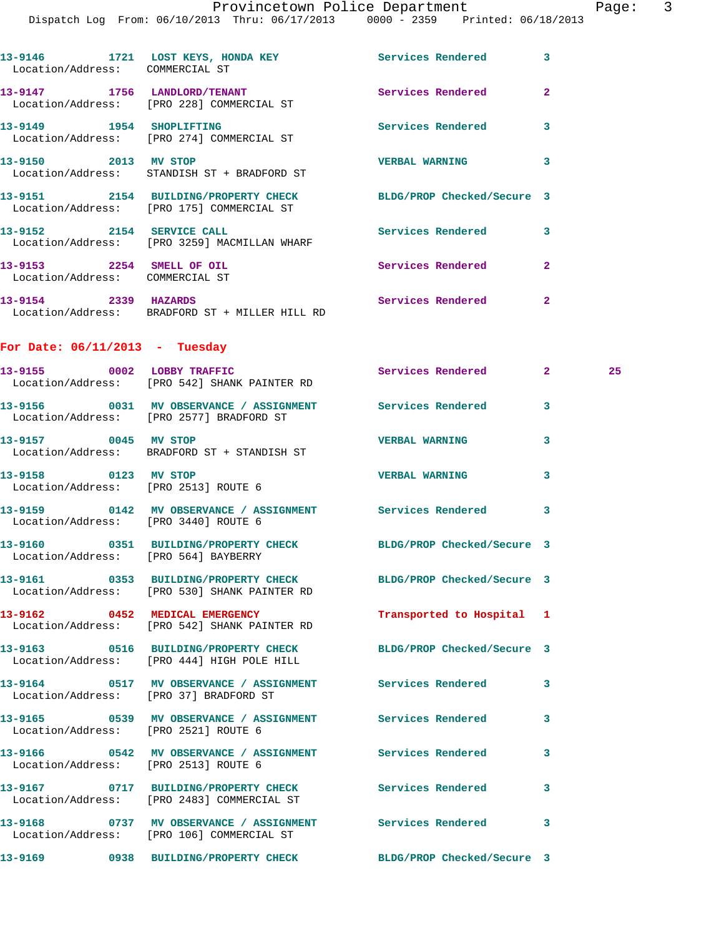Dispatch Log From: 06/10/2013 Thru: 06/17/2013 0000 - 2359 Printed: 06/18/2013 **13-9146 1721 LOST KEYS, HONDA KEY Services Rendered 3**  Location/Address: COMMERCIAL ST **13-9147 1756 LANDLORD/TENANT Services Rendered 2**  Location/Address: [PRO 228] COMMERCIAL ST **13-9149 1954 SHOPLIFTING Services Rendered 3**  Location/Address: [PRO 274] COMMERCIAL ST **13-9150 2013 MV STOP VERBAL WARNING 3**  Location/Address: STANDISH ST + BRADFORD ST **13-9151 2154 BUILDING/PROPERTY CHECK BLDG/PROP Checked/Secure 3**  Location/Address: [PRO 175] COMMERCIAL ST **13-9152 2154 SERVICE CALL Services Rendered 3**  Location/Address: [PRO 3259] MACMILLAN WHARF **13-9153 2254 SMELL OF OIL Services Rendered 2**  Location/Address: COMMERCIAL ST **13-9154 2339 HAZARDS Services Rendered 2**  Location/Address: BRADFORD ST + MILLER HILL RD **For Date: 06/11/2013 - Tuesday 13-9155 0002 LOBBY TRAFFIC Services Rendered 2 25**  Location/Address: [PRO 542] SHANK PAINTER RD **13-9156 0031 MV OBSERVANCE / ASSIGNMENT Services Rendered 3**  Location/Address: [PRO 2577] BRADFORD ST **13-9157 0045 MV STOP VERBAL WARNING 3**  Location/Address: BRADFORD ST + STANDISH ST **13-9158 0123 MV STOP VERBAL WARNING 3**  Location/Address: [PRO 2513] ROUTE 6 **13-9159 0142 MV OBSERVANCE / ASSIGNMENT Services Rendered 3**  Location/Address: [PRO 3440] ROUTE 6 **13-9160 0351 BUILDING/PROPERTY CHECK BLDG/PROP Checked/Secure 3**  Location/Address: [PRO 564] BAYBERRY **13-9161 0353 BUILDING/PROPERTY CHECK BLDG/PROP Checked/Secure 3**  Location/Address: [PRO 530] SHANK PAINTER RD **13-9162 0452 MEDICAL EMERGENCY Transported to Hospital 1**  Location/Address: [PRO 542] SHANK PAINTER RD **13-9163 0516 BUILDING/PROPERTY CHECK BLDG/PROP Checked/Secure 3**  Location/Address: [PRO 444] HIGH POLE HILL **13-9164 0517 MV OBSERVANCE / ASSIGNMENT Services Rendered 3**  Location/Address: [PRO 37] BRADFORD ST **13-9165 0539 MV OBSERVANCE / ASSIGNMENT Services Rendered 3**  Location/Address: [PRO 2521] ROUTE 6 **13-9166 0542 MV OBSERVANCE / ASSIGNMENT Services Rendered 3**  Location/Address: [PRO 2513] ROUTE 6 **13-9167 0717 BUILDING/PROPERTY CHECK Services Rendered 3**  Location/Address: [PRO 2483] COMMERCIAL ST **13-9168 0737 MV OBSERVANCE / ASSIGNMENT Services Rendered 3**  Location/Address: [PRO 106] COMMERCIAL ST **13-9169 0938 BUILDING/PROPERTY CHECK BLDG/PROP Checked/Secure 3**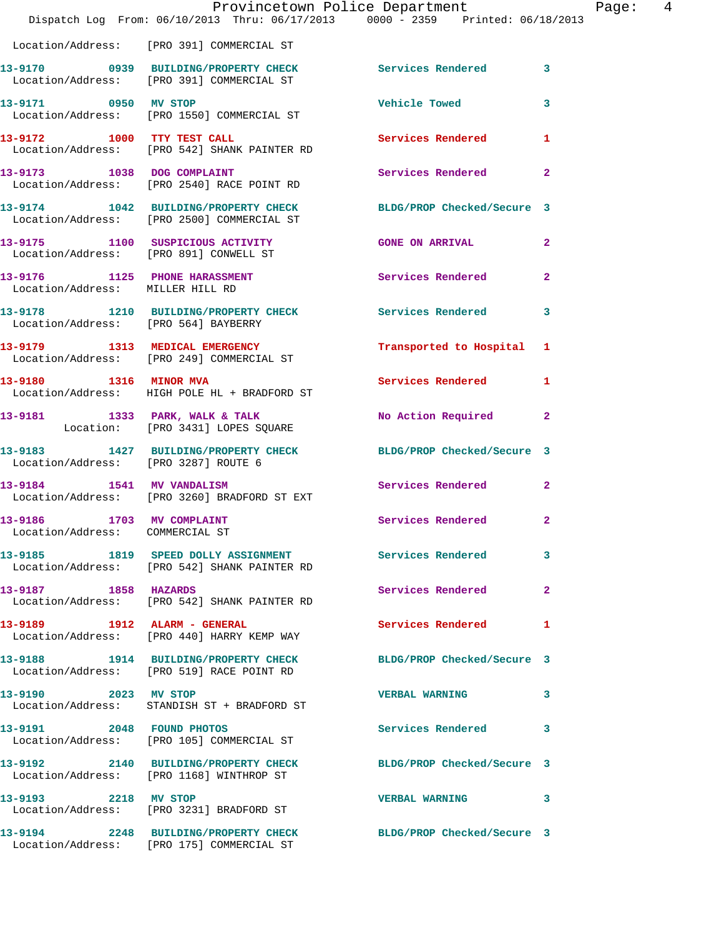|                                            | Provincetown Police Department<br>Dispatch Log From: 06/10/2013 Thru: 06/17/2013 0000 - 2359 Printed: 06/18/2013 |                           | Page:  4     |
|--------------------------------------------|------------------------------------------------------------------------------------------------------------------|---------------------------|--------------|
|                                            | Location/Address: [PRO 391] COMMERCIAL ST                                                                        |                           |              |
|                                            | 13-9170 0939 BUILDING/PROPERTY CHECK Services Rendered 3<br>Location/Address: [PRO 391] COMMERCIAL ST            |                           |              |
| 13-9171 0950 MV STOP                       | Location/Address: [PRO 1550] COMMERCIAL ST                                                                       | Vehicle Towed 3           |              |
|                                            | 13-9172 1000 TTY TEST CALL<br>Location/Address: [PRO 542] SHANK PAINTER RD                                       | <b>Services Rendered</b>  | 1            |
|                                            | 13-9173 1038 DOG COMPLAINT<br>Location/Address: [PRO 2540] RACE POINT RD                                         | Services Rendered         | $\mathbf{2}$ |
|                                            | 13-9174 1042 BUILDING/PROPERTY CHECK BLDG/PROP Checked/Secure 3<br>Location/Address: [PRO 2500] COMMERCIAL ST    |                           |              |
|                                            | 13-9175 1100 SUSPICIOUS ACTIVITY CONE ON ARRIVAL<br>Location/Address: [PRO 891] CONWELL ST                       |                           | $\mathbf{2}$ |
| Location/Address: MILLER HILL RD           | 13-9176 1125 PHONE HARASSMENT                                                                                    | Services Rendered 2       |              |
| Location/Address: [PRO 564] BAYBERRY       | 13-9178 1210 BUILDING/PROPERTY CHECK Services Rendered                                                           |                           | 3            |
|                                            | 13-9179 1313 MEDICAL EMERGENCY<br>Location/Address: [PRO 249] COMMERCIAL ST                                      | Transported to Hospital 1 |              |
|                                            | 13-9180 1316 MINOR MVA<br>Location/Address: HIGH POLE HL + BRADFORD ST                                           | Services Rendered         | 1            |
|                                            | 13-9181 1333 PARK, WALK & TALK<br>Location: [PRO 3431] LOPES SQUARE                                              | No Action Required 2      |              |
| Location/Address: [PRO 3287] ROUTE 6       | 13-9183 1427 BUILDING/PROPERTY CHECK BLDG/PROP Checked/Secure 3                                                  |                           |              |
|                                            | 13-9184 1541 MV VANDALISM<br>Location/Address: [PRO 3260] BRADFORD ST EXT                                        | Services Rendered 2       |              |
| 13-9186<br>Location/Address: COMMERCIAL ST | 1703 MV COMPLAINT                                                                                                | Services Rendered         | 2            |
|                                            | 13-9185 1819 SPEED DOLLY ASSIGNMENT Services Rendered<br>Location/Address: [PRO 542] SHANK PAINTER RD            |                           | 3            |
| 13-9187 1858 HAZARDS                       | Location/Address: [PRO 542] SHANK PAINTER RD                                                                     | Services Rendered         | $\mathbf{2}$ |
|                                            | 13-9189 1912 ALARM - GENERAL<br>Location/Address: [PRO 440] HARRY KEMP WAY                                       | <b>Services Rendered</b>  | 1            |
|                                            | 13-9188 1914 BUILDING/PROPERTY CHECK BLDG/PROP Checked/Secure 3<br>Location/Address: [PRO 519] RACE POINT RD     |                           |              |
| 13-9190 2023 MV STOP                       | Location/Address: STANDISH ST + BRADFORD ST                                                                      | <b>VERBAL WARNING</b>     | 3            |
|                                            | 13-9191 2048 FOUND PHOTOS<br>Location/Address: [PRO 105] COMMERCIAL ST                                           | Services Rendered         | 3            |
|                                            | 13-9192 2140 BUILDING/PROPERTY CHECK BLDG/PROP Checked/Secure 3<br>Location/Address: [PRO 1168] WINTHROP ST      |                           |              |
|                                            | 13-9193 2218 MV STOP<br>Location/Address: [PRO 3231] BRADFORD ST                                                 | <b>VERBAL WARNING</b>     | 3            |
|                                            | 13-9194 2248 BUILDING/PROPERTY CHECK BLDG/PROP Checked/Secure 3                                                  |                           |              |

Location/Address: [PRO 175] COMMERCIAL ST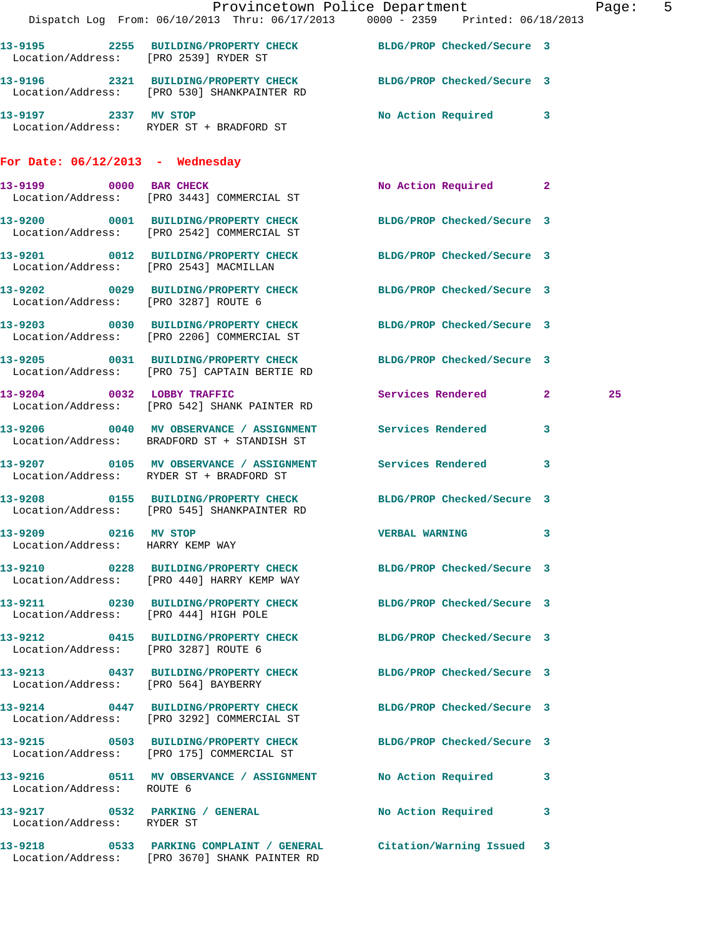|                                    |                                                                                                          | Provincetown Police Department Page: 5<br>Dispatch Log From: 06/10/2013 Thru: 06/17/2013 0000 - 2359 Printed: 06/18/2013 |    |
|------------------------------------|----------------------------------------------------------------------------------------------------------|--------------------------------------------------------------------------------------------------------------------------|----|
|                                    |                                                                                                          |                                                                                                                          |    |
|                                    | Location/Address: [PRO 2539] RYDER ST                                                                    | 13-9195 2255 BUILDING/PROPERTY CHECK BLDG/PROP Checked/Secure 3                                                          |    |
|                                    | Location/Address: [PRO 530] SHANKPAINTER RD                                                              | 13-9196 2321 BUILDING/PROPERTY CHECK BLDG/PROP Checked/Secure 3                                                          |    |
|                                    | 13-9197 2337 MV STOP<br>Location/Address: RYDER ST + BRADFORD ST                                         | No Action Required 3                                                                                                     |    |
| For Date: $06/12/2013$ - Wednesday |                                                                                                          |                                                                                                                          |    |
|                                    | 13-9199 0000 BAR CHECK<br>Location/Address: [PRO 3443] COMMERCIAL ST                                     | No Action Required 2                                                                                                     |    |
|                                    | Location/Address: [PRO 2542] COMMERCIAL ST                                                               | 13-9200 0001 BUILDING/PROPERTY CHECK BLDG/PROP Checked/Secure 3                                                          |    |
|                                    |                                                                                                          | 13-9201 0012 BUILDING/PROPERTY CHECK BLDG/PROP Checked/Secure 3<br>Location/Address: [PRO 2543] MACMILLAN                |    |
|                                    | Location/Address: [PRO 3287] ROUTE 6                                                                     | 13-9202 0029 BUILDING/PROPERTY CHECK BLDG/PROP Checked/Secure 3                                                          |    |
|                                    | Location/Address: [PRO 2206] COMMERCIAL ST                                                               | 13-9203 0030 BUILDING/PROPERTY CHECK BLDG/PROP Checked/Secure 3                                                          |    |
|                                    | 13-9205 0031 BUILDING/PROPERTY CHECK<br>Location/Address: [PRO 75] CAPTAIN BERTIE RD                     | BLDG/PROP Checked/Secure 3                                                                                               |    |
|                                    | 13-9204 0032 LOBBY TRAFFIC<br>Location/Address: [PRO 542] SHANK PAINTER RD                               | Services Rendered 2                                                                                                      | 25 |
|                                    | 13-9206 0040 MV OBSERVANCE / ASSIGNMENT Services Rendered<br>Location/Address: BRADFORD ST + STANDISH ST | $\mathbf{3}$                                                                                                             |    |
|                                    | Location/Address: RYDER ST + BRADFORD ST                                                                 | 13-9207 0105 MV OBSERVANCE / ASSIGNMENT Services Rendered 3                                                              |    |
|                                    | Location/Address: [PRO 545] SHANKPAINTER RD                                                              | 13-9208 0155 BUILDING/PROPERTY CHECK BLDG/PROP Checked/Secure 3                                                          |    |
| Location/Address: HARRY KEMP WAY   | 13-9209 0216 MV STOP                                                                                     | <b>VERBAL WARNING</b>                                                                                                    |    |
|                                    | Location/Address: [PRO 440] HARRY KEMP WAY                                                               | 13-9210 0228 BUILDING/PROPERTY CHECK BLDG/PROP Checked/Secure 3                                                          |    |
|                                    |                                                                                                          | 13-9211 0230 BUILDING/PROPERTY CHECK BLDG/PROP Checked/Secure 3<br>Location/Address: [PRO 444] HIGH POLE                 |    |
|                                    | Location/Address: [PRO 3287] ROUTE 6                                                                     | 13-9212 0415 BUILDING/PROPERTY CHECK BLDG/PROP Checked/Secure 3                                                          |    |
|                                    | Location/Address: [PRO 564] BAYBERRY                                                                     | 13-9213 0437 BUILDING/PROPERTY CHECK BLDG/PROP Checked/Secure 3                                                          |    |
|                                    | Location/Address: [PRO 3292] COMMERCIAL ST                                                               | 13-9214 0447 BUILDING/PROPERTY CHECK BLDG/PROP Checked/Secure 3                                                          |    |
|                                    | Location/Address: [PRO 175] COMMERCIAL ST                                                                | 13-9215 0503 BUILDING/PROPERTY CHECK BLDG/PROP Checked/Secure 3                                                          |    |
| Location/Address: ROUTE 6          |                                                                                                          | 13-9216 0511 MV OBSERVANCE / ASSIGNMENT No Action Required 3                                                             |    |
| Location/Address: RYDER ST         |                                                                                                          | 13-9217 0532 PARKING / GENERAL No No Action Required 3                                                                   |    |
|                                    | 13-9218 0533 PARKING COMPLAINT / GENERAL<br>Location/Address: [PRO 3670] SHANK PAINTER RD                | Citation/Warning Issued 3                                                                                                |    |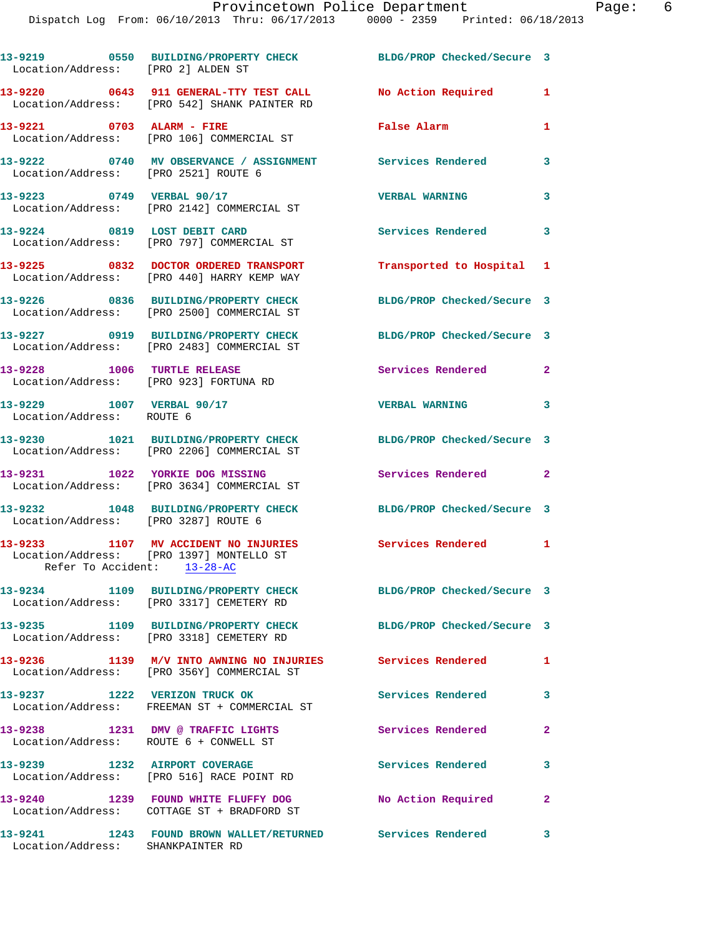| Location/Address: [PRO 2] ALDEN ST                                    | 13-9219 0550 BUILDING/PROPERTY CHECK                                                                                     | BLDG/PROP Checked/Secure 3 |                            |
|-----------------------------------------------------------------------|--------------------------------------------------------------------------------------------------------------------------|----------------------------|----------------------------|
|                                                                       | 13-9220      0643   911 GENERAL-TTY TEST CALL       No Action Required<br>Location/Address:   [PRO 542] SHANK PAINTER RD |                            | $\mathbf{1}$               |
| 13-9221 0703 ALARM - FIRE                                             | Location/Address: [PRO 106] COMMERCIAL ST                                                                                | False Alarm                | $\mathbf{1}$               |
| Location/Address: [PRO 2521] ROUTE 6                                  | 13-9222 0740 MV OBSERVANCE / ASSIGNMENT Services Rendered                                                                |                            | 3                          |
| 13-9223 0749 VERBAL 90/17                                             | Location/Address: [PRO 2142] COMMERCIAL ST                                                                               | <b>VERBAL WARNING</b>      | 3                          |
|                                                                       | 13-9224 0819 LOST DEBIT CARD<br>Location/Address: [PRO 797] COMMERCIAL ST                                                | <b>Services Rendered</b>   | $\overline{\mathbf{3}}$    |
|                                                                       | 13-9225 0832 DOCTOR ORDERED TRANSPORT<br>Location/Address: [PRO 440] HARRY KEMP WAY                                      | Transported to Hospital 1  |                            |
|                                                                       | 13-9226 0836 BUILDING/PROPERTY CHECK<br>Location/Address: [PRO 2500] COMMERCIAL ST                                       | BLDG/PROP Checked/Secure 3 |                            |
|                                                                       | 13-9227 0919 BUILDING/PROPERTY CHECK<br>Location/Address: [PRO 2483] COMMERCIAL ST                                       | BLDG/PROP Checked/Secure 3 |                            |
| 13-9228 1006 TURTLE RELEASE<br>Location/Address: [PRO 923] FORTUNA RD |                                                                                                                          | Services Rendered          | $\mathbf{2}$               |
| 13-9229 1007 VERBAL 90/17<br>Location/Address: ROUTE 6                |                                                                                                                          | <b>VERBAL WARNING</b>      | $\overline{\phantom{a}}$ 3 |
|                                                                       | 13-9230 1021 BUILDING/PROPERTY CHECK<br>Location/Address: [PRO 2206] COMMERCIAL ST                                       | BLDG/PROP Checked/Secure 3 |                            |
| 13-9231 1022 YORKIE DOG MISSING                                       | Location/Address: [PRO 3634] COMMERCIAL ST                                                                               | Services Rendered          | $\overline{2}$             |
| Location/Address: [PRO 3287] ROUTE 6                                  | 13-9232 1048 BUILDING/PROPERTY CHECK                                                                                     | BLDG/PROP Checked/Secure 3 |                            |
| Refer To Accident: 13-28-AC                                           | 13-9233 1107 MV ACCIDENT NO INJURIES<br>Location/Address: [PRO 1397] MONTELLO ST                                         | Services Rendered 1        |                            |
|                                                                       | 13-9234 1109 BUILDING/PROPERTY CHECK<br>Location/Address: [PRO 3317] CEMETERY RD                                         | BLDG/PROP Checked/Secure 3 |                            |
|                                                                       | 13-9235 1109 BUILDING/PROPERTY CHECK BLDG/PROP Checked/Secure 3<br>Location/Address: [PRO 3318] CEMETERY RD              |                            |                            |
|                                                                       | 13-9236 1139 M/V INTO AWNING NO INJURIES Services Rendered<br>Location/Address: [PRO 356Y] COMMERCIAL ST                 |                            | 1                          |
| 13-9237 1222 VERIZON TRUCK OK                                         | Location/Address: FREEMAN ST + COMMERCIAL ST                                                                             | Services Rendered          | 3                          |
|                                                                       | 13-9238 1231 DMV @ TRAFFIC LIGHTS<br>Location/Address: ROUTE 6 + CONWELL ST                                              | Services Rendered          | $\mathbf{2}$               |
|                                                                       | 13-9239 1232 AIRPORT COVERAGE<br>Location/Address: [PRO 516] RACE POINT RD                                               | Services Rendered          | 3                          |
|                                                                       | 13-9240 1239 FOUND WHITE FLUFFY DOG<br>Location/Address: COTTAGE ST + BRADFORD ST                                        | No Action Required         | $\mathbf{2}$               |
| Location/Address: SHANKPAINTER RD                                     | 13-9241 1243 FOUND BROWN WALLET/RETURNED Services Rendered                                                               |                            | 3                          |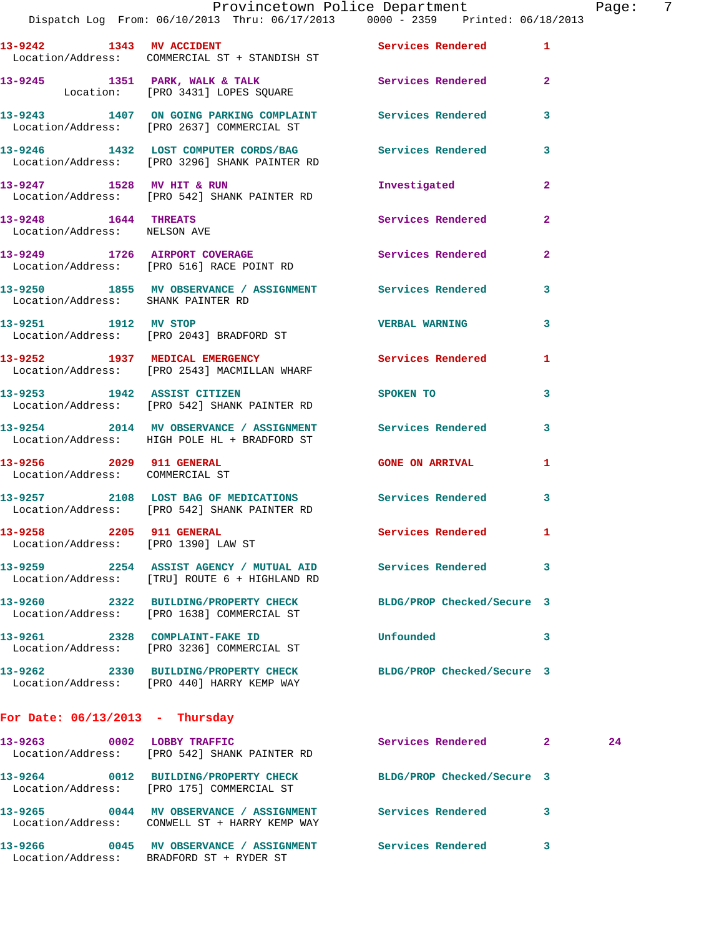|                                                      | Provincetown Police Department The Page: 7<br>Dispatch Log From: 06/10/2013 Thru: 06/17/2013 0000 - 2359 Printed: 06/18/2013 |                                  |              |    |  |
|------------------------------------------------------|------------------------------------------------------------------------------------------------------------------------------|----------------------------------|--------------|----|--|
|                                                      | 13-9242 1343 MV ACCIDENT 1 Services Rendered 1<br>Location/Address: COMMERCIAL ST + STANDISH ST                              |                                  |              |    |  |
|                                                      | 13-9245 1351 PARK, WALK & TALK Services Rendered 2<br>Location: [PRO 3431] LOPES SQUARE                                      |                                  |              |    |  |
|                                                      | 13-9243 1407 ON GOING PARKING COMPLAINT Services Rendered 3<br>Location/Address: [PRO 2637] COMMERCIAL ST                    |                                  |              |    |  |
|                                                      | 13-9246 1432 LOST COMPUTER CORDS/BAG Services Rendered 3<br>Location/Address: [PRO 3296] SHANK PAINTER RD                    |                                  |              |    |  |
|                                                      | 13-9247 1528 MV HIT & RUN<br>Location/Address: [PRO 542] SHANK PAINTER RD                                                    | Investigated 2                   |              |    |  |
| 13-9248 1644 THREATS<br>Location/Address: NELSON AVE |                                                                                                                              | Services Rendered 2              |              |    |  |
|                                                      | 13-9249 1726 AIRPORT COVERAGE Services Rendered 2<br>Location/Address: [PRO 516] RACE POINT RD                               |                                  |              |    |  |
| Location/Address: SHANK PAINTER RD                   | 13-9250 1855 MV OBSERVANCE / ASSIGNMENT Services Rendered 3                                                                  |                                  |              |    |  |
|                                                      | 13-9251 1912 MV STOP<br>Location/Address: [PRO 2043] BRADFORD ST                                                             | VERBAL WARNING 3                 |              |    |  |
|                                                      | 13-9252 1937 MEDICAL EMERGENCY Services Rendered 1<br>Location/Address: [PRO 2543] MACMILLAN WHARF                           |                                  |              |    |  |
|                                                      | 13-9253 1942 ASSIST CITIZEN<br>Location/Address: [PRO 542] SHANK PAINTER RD                                                  | SPOKEN TO THE STATE OF SPOKEN TO | $\mathbf{3}$ |    |  |
|                                                      | 13-9254 2014 MV OBSERVANCE / ASSIGNMENT Services Rendered 3<br>Location/Address: HIGH POLE HL + BRADFORD ST                  |                                  |              |    |  |
| Location/Address: COMMERCIAL ST                      | 13-9256 2029 911 GENERAL CONE ON ARRIVAL 1                                                                                   |                                  |              |    |  |
|                                                      | 13-9257 2108 LOST BAG OF MEDICATIONS Services Rendered 3<br>Location/Address: [PRO 542] SHANK PAINTER RD                     |                                  |              |    |  |
| Location/Address: [PRO 1390] LAW ST                  | 13-9258 2205 911 GENERAL                                                                                                     | Services Rendered 1              |              |    |  |
|                                                      | 13-9259 2254 ASSIST AGENCY / MUTUAL AID Services Rendered 3<br>Location/Address: [TRU] ROUTE 6 + HIGHLAND RD                 |                                  |              |    |  |
|                                                      | 13-9260 2322 BUILDING/PROPERTY CHECK<br>Location/Address: [PRO 1638] COMMERCIAL ST                                           | BLDG/PROP Checked/Secure 3       |              |    |  |
|                                                      | 13-9261 2328 COMPLAINT-FAKE ID<br>Location/Address: [PRO 3236] COMMERCIAL ST                                                 | Unfounded                        | $\sim$ 3     |    |  |
|                                                      | 13-9262 2330 BUILDING/PROPERTY CHECK BLDG/PROP Checked/Secure 3<br>Location/Address: [PRO 440] HARRY KEMP WAY                |                                  |              |    |  |
| For Date: $06/13/2013$ - Thursday                    |                                                                                                                              |                                  |              |    |  |
|                                                      | 13-9263 0002 LOBBY TRAFFIC<br>Location/Address: [PRO 542] SHANK PAINTER RD                                                   | Services Rendered 2              |              | 24 |  |
|                                                      | 13-9264 0012 BUILDING/PROPERTY CHECK BLDG/PROP Checked/Secure 3<br>Location/Address: [PRO 175] COMMERCIAL ST                 |                                  |              |    |  |
|                                                      | 13-9265 0044 MV OBSERVANCE / ASSIGNMENT Services Rendered 3<br>Location/Address: CONWELL ST + HARRY KEMP WAY                 |                                  |              |    |  |

**13-9266 0045 MV OBSERVANCE / ASSIGNMENT Services Rendered 3**  Location/Address: BRADFORD ST + RYDER ST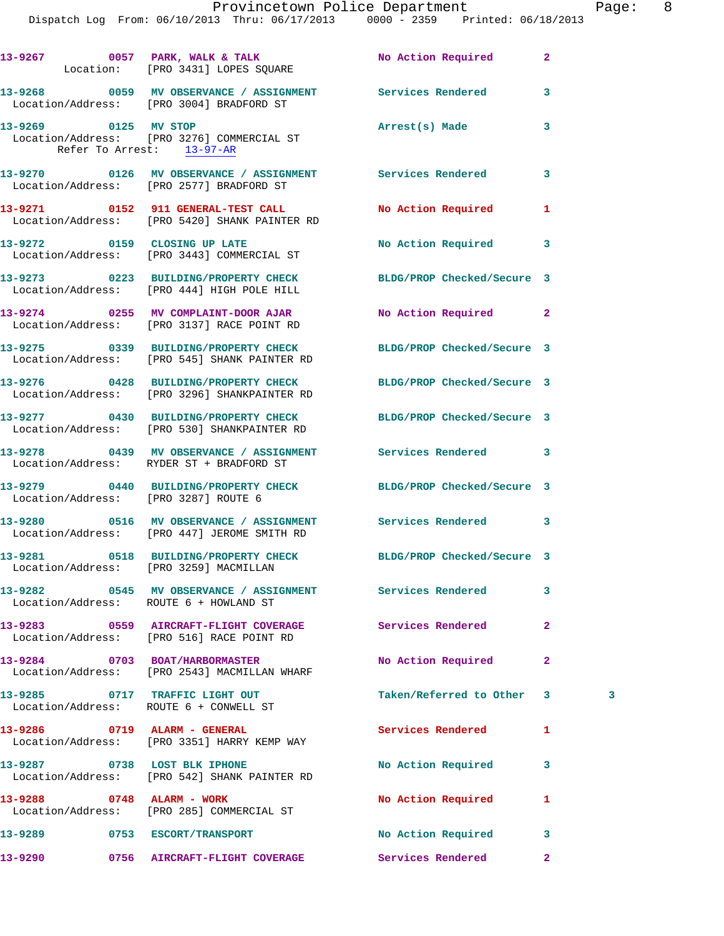Dispatch Log From: 06/10/2013 Thru: 06/17/2013 0000 - 2359 Printed: 06/18/2013

|         | 13-9267 0057 PARK, WALK & TALK NO Action Required<br>Location: [PRO 3431] LOPES SQUARE                          |                            | $\mathbf{2}$ |   |
|---------|-----------------------------------------------------------------------------------------------------------------|----------------------------|--------------|---|
|         | 13-9268 0059 MV OBSERVANCE / ASSIGNMENT Services Rendered<br>Location/Address: [PRO 3004] BRADFORD ST           |                            | 3            |   |
|         | 13-9269 0125 MV STOP<br>Location/Address: [PRO 3276] COMMERCIAL ST<br>Refer To Arrest: 13-97-AR                 | Arrest(s) Made             | 3            |   |
|         | 13-9270 0126 MV OBSERVANCE / ASSIGNMENT Services Rendered<br>Location/Address: [PRO 2577] BRADFORD ST           |                            | 3            |   |
|         | 13-9271 0152 911 GENERAL-TEST CALL<br>Location/Address: [PRO 5420] SHANK PAINTER RD                             | No Action Required         | 1            |   |
|         | 13-9272 0159 CLOSING UP LATE<br>Location/Address: [PRO 3443] COMMERCIAL ST                                      | No Action Required         | 3            |   |
|         | 13-9273 0223 BUILDING/PROPERTY CHECK BLDG/PROP Checked/Secure 3<br>Location/Address: [PRO 444] HIGH POLE HILL   |                            |              |   |
|         | 13-9274 0255 MV COMPLAINT-DOOR AJAR<br>Location/Address: [PRO 3137] RACE POINT RD                               | No Action Required 2       |              |   |
|         | 13-9275 0339 BUILDING/PROPERTY CHECK<br>Location/Address: [PRO 545] SHANK PAINTER RD                            | BLDG/PROP Checked/Secure 3 |              |   |
|         | 13-9276 0428 BUILDING/PROPERTY CHECK BLDG/PROP Checked/Secure 3<br>Location/Address: [PRO 3296] SHANKPAINTER RD |                            |              |   |
|         | 13-9277 0430 BUILDING/PROPERTY CHECK BLDG/PROP Checked/Secure 3<br>Location/Address: [PRO 530] SHANKPAINTER RD  |                            |              |   |
|         | 13-9278 0439 MV OBSERVANCE / ASSIGNMENT Services Rendered<br>Location/Address: RYDER ST + BRADFORD ST           |                            | 3            |   |
|         | 13-9279 0440 BUILDING/PROPERTY CHECK BLDG/PROP Checked/Secure 3<br>Location/Address: [PRO 3287] ROUTE 6         |                            |              |   |
|         | 13-9280 0516 MV OBSERVANCE / ASSIGNMENT Services Rendered<br>Location/Address: [PRO 447] JEROME SMITH RD        |                            | 3            |   |
|         | 13-9281 0518 BUILDING/PROPERTY CHECK BLDG/PROP Checked/Secure 3<br>Location/Address: [PRO 3259] MACMILLAN       |                            |              |   |
|         | 13-9282 0545 MV OBSERVANCE / ASSIGNMENT Services Rendered<br>Location/Address: ROUTE 6 + HOWLAND ST             |                            | 3            |   |
|         | 13-9283 0559 AIRCRAFT-FLIGHT COVERAGE<br>Location/Address: [PRO 516] RACE POINT RD                              | Services Rendered          | 2            |   |
|         | 13-9284 0703 BOAT/HARBORMASTER<br>Location/Address: [PRO 2543] MACMILLAN WHARF                                  | No Action Required         | 2            |   |
|         | 13-9285 0717 TRAFFIC LIGHT OUT<br>Location/Address: ROUTE 6 + CONWELL ST                                        | Taken/Referred to Other    | $\mathbf{3}$ | 3 |
|         | 13-9286 0719 ALARM - GENERAL<br>Location/Address: [PRO 3351] HARRY KEMP WAY                                     | Services Rendered          | 1            |   |
|         | 13-9287 0738 LOST BLK IPHONE<br>Location/Address: [PRO 542] SHANK PAINTER RD                                    | No Action Required         | 3            |   |
|         | 13-9288 0748 ALARM - WORK<br>Location/Address: [PRO 285] COMMERCIAL ST                                          | No Action Required         | 1            |   |
| 13-9289 | 0753 ESCORT/TRANSPORT                                                                                           | No Action Required         | 3            |   |
| 13-9290 | 0756 AIRCRAFT-FLIGHT COVERAGE Services Rendered                                                                 |                            | $\mathbf{2}$ |   |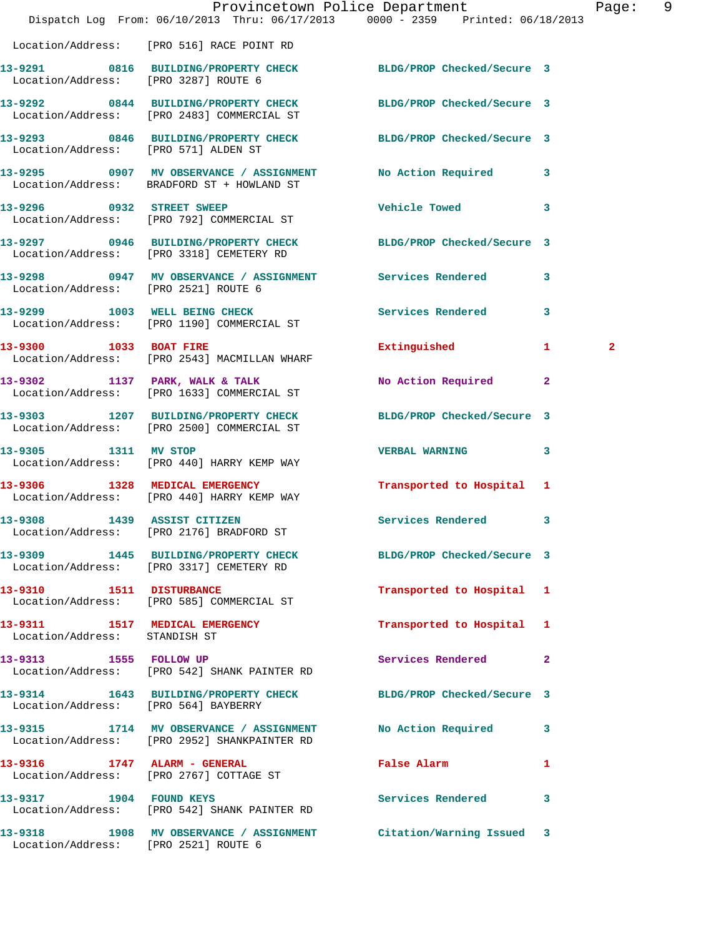|                                      |                                                                                       | Provincetown Police Department                                                                              | Page: 9      |
|--------------------------------------|---------------------------------------------------------------------------------------|-------------------------------------------------------------------------------------------------------------|--------------|
|                                      |                                                                                       | Dispatch Log From: 06/10/2013 Thru: 06/17/2013 0000 - 2359 Printed: 06/18/2013                              |              |
|                                      | Location/Address: [PRO 516] RACE POINT RD                                             |                                                                                                             |              |
| Location/Address: [PRO 3287] ROUTE 6 |                                                                                       | 13-9291 0816 BUILDING/PROPERTY CHECK BLDG/PROP Checked/Secure 3                                             |              |
|                                      | 13-9292 0844 BUILDING/PROPERTY CHECK<br>Location/Address: [PRO 2483] COMMERCIAL ST    | BLDG/PROP Checked/Secure 3                                                                                  |              |
| Location/Address: [PRO 571] ALDEN ST |                                                                                       | 13-9293 0846 BUILDING/PROPERTY CHECK BLDG/PROP Checked/Secure 3                                             |              |
|                                      | 13-9295 0907 MV OBSERVANCE / ASSIGNMENT<br>Location/Address: BRADFORD ST + HOWLAND ST | No Action Required 3                                                                                        |              |
| 13-9296 0932 STREET SWEEP            | Location/Address: [PRO 792] COMMERCIAL ST                                             | Vehicle Towed 3                                                                                             |              |
|                                      |                                                                                       | 13-9297 0946 BUILDING/PROPERTY CHECK BLDG/PROP Checked/Secure 3<br>Location/Address: [PRO 3318] CEMETERY RD |              |
| Location/Address: [PRO 2521] ROUTE 6 |                                                                                       | 13-9298 0947 MV OBSERVANCE / ASSIGNMENT Services Rendered 3                                                 |              |
|                                      | 13-9299 1003 WELL BEING CHECK<br>Location/Address: [PRO 1190] COMMERCIAL ST           | <b>Services Rendered</b><br>$\mathbf{3}$                                                                    |              |
| 13-9300 1033 BOAT FIRE               | Location/Address: [PRO 2543] MACMILLAN WHARF                                          | Extinguished<br>$\mathbf{1}$                                                                                | $\mathbf{2}$ |
|                                      | 13-9302 1137 PARK, WALK & TALK<br>Location/Address: [PRO 1633] COMMERCIAL ST          | No Action Required 2                                                                                        |              |
|                                      | 13-9303 1207 BUILDING/PROPERTY CHECK<br>Location/Address: [PRO 2500] COMMERCIAL ST    | BLDG/PROP Checked/Secure 3                                                                                  |              |
| 13-9305 1311 MV STOP                 | Location/Address: [PRO 440] HARRY KEMP WAY                                            | VERBAL WARNING 3                                                                                            |              |
|                                      | 13-9306 1328 MEDICAL EMERGENCY<br>Location/Address: [PRO 440] HARRY KEMP WAY          | Transported to Hospital 1                                                                                   |              |
| 13-9308                              | 1439 ASSIST CITIZEN<br>Location/Address: [PRO 2176] BRADFORD ST                       | Services Rendered 3                                                                                         |              |
|                                      | Location/Address: [PRO 3317] CEMETERY RD                                              | 13-9309 1445 BUILDING/PROPERTY CHECK BLDG/PROP Checked/Secure 3                                             |              |
|                                      | 13-9310 1511 DISTURBANCE<br>Location/Address: [PRO 585] COMMERCIAL ST                 | Transported to Hospital 1                                                                                   |              |
| Location/Address: STANDISH ST        | 13-9311 1517 MEDICAL EMERGENCY                                                        | Transported to Hospital 1                                                                                   |              |
|                                      | 13-9313 1555 FOLLOW UP<br>Location/Address: [PRO 542] SHANK PAINTER RD                | Services Rendered 2                                                                                         |              |
| Location/Address: [PRO 564] BAYBERRY |                                                                                       | 13-9314 1643 BUILDING/PROPERTY CHECK BLDG/PROP Checked/Secure 3                                             |              |
|                                      | Location/Address: [PRO 2952] SHANKPAINTER RD                                          | 13-9315 1714 MV OBSERVANCE / ASSIGNMENT NO Action Required 3                                                |              |
|                                      | 13-9316 1747 ALARM - GENERAL<br>Location/Address: [PRO 2767] COTTAGE ST               | False Alarm <b>Exercise Service Service</b><br>1                                                            |              |
|                                      | 13-9317 1904 FOUND KEYS<br>Location/Address: [PRO 542] SHANK PAINTER RD               | Services Rendered 3                                                                                         |              |
| Location/Address: [PRO 2521] ROUTE 6 |                                                                                       | 13-9318 1908 MV OBSERVANCE / ASSIGNMENT Citation/Warning Issued 3                                           |              |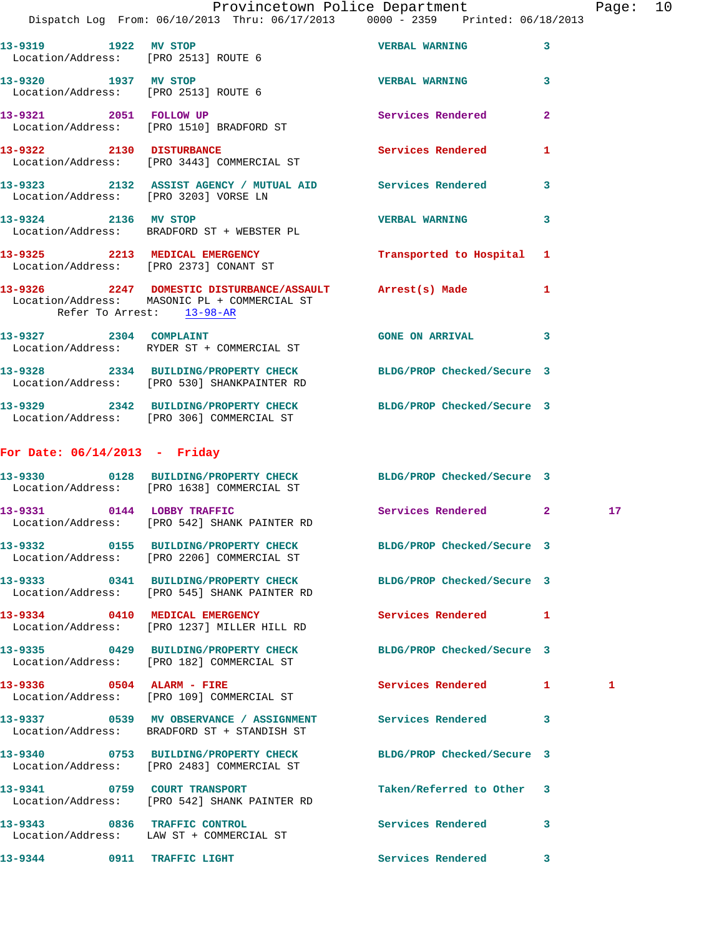|  | Provincetown Police Department |  |                                 | Page: $10$ |  |
|--|--------------------------------|--|---------------------------------|------------|--|
|  | n: 06/10/2013 Thru: 06/17/2013 |  | 0000 - 2359 Printed: 06/18/2013 |            |  |

|                                   | FIOATHCECOMH FOIICE DEPAIRMENT<br>Dispatch Log From: 06/10/2013 Thru: 06/17/2013 0000 - 2359 Printed: 06/18/2013                      |                            |                | rayc |
|-----------------------------------|---------------------------------------------------------------------------------------------------------------------------------------|----------------------------|----------------|------|
| 13-9319 1922 MV STOP              | Location/Address: [PRO 2513] ROUTE 6                                                                                                  | <b>VERBAL WARNING</b>      | 3              |      |
|                                   | 13-9320 1937 MV STOP<br>Location/Address: [PRO 2513] ROUTE 6                                                                          | <b>VERBAL WARNING</b>      | 3              |      |
|                                   | 13-9321 2051 FOLLOW UP<br>Location/Address: [PRO 1510] BRADFORD ST                                                                    | Services Rendered          | $\overline{2}$ |      |
|                                   | 13-9322 2130 DISTURBANCE<br>Location/Address: [PRO 3443] COMMERCIAL ST                                                                | Services Rendered          | 1              |      |
|                                   | 13-9323 2132 ASSIST AGENCY / MUTUAL AID Services Rendered<br>Location/Address: [PRO 3203] VORSE LN                                    |                            | 3              |      |
| 13-9324 2136 MV STOP              | Location/Address: BRADFORD ST + WEBSTER PL                                                                                            | <b>VERBAL WARNING</b>      | 3              |      |
|                                   | 13-9325 2213 MEDICAL EMERGENCY Transported to Hospital 1<br>Location/Address: [PRO 2373] CONANT ST                                    |                            |                |      |
|                                   | 13-9326 2247 DOMESTIC DISTURBANCE/ASSAULT Arrest(s) Made<br>Location/Address: MASONIC PL + COMMERCIAL ST<br>Refer To Arrest: 13-98-AR |                            | $\mathbf{1}$   |      |
|                                   | 13-9327 2304 COMPLAINT<br>Location/Address: RYDER ST + COMMERCIAL ST                                                                  | GONE ON ARRIVAL 3          |                |      |
|                                   | 13-9328 2334 BUILDING/PROPERTY CHECK BLDG/PROP Checked/Secure 3<br>Location/Address: [PRO 530] SHANKPAINTER RD                        |                            |                |      |
|                                   | 13-9329 2342 BUILDING/PROPERTY CHECK BLDG/PROP Checked/Secure 3<br>Location/Address: [PRO 306] COMMERCIAL ST                          |                            |                |      |
| For Date: $06/14/2013$ - Friday   |                                                                                                                                       |                            |                |      |
|                                   | 13-9330 0128 BUILDING/PROPERTY CHECK BLDG/PROP Checked/Secure 3<br>Location/Address: [PRO 1638] COMMERCIAL ST                         |                            |                |      |
|                                   | 13-9331 0144 LOBBY TRAFFIC<br>Location/Address: [PRO 542] SHANK PAINTER RD                                                            | Services Rendered 2        |                | 17   |
| 13-9332 0155<br>Location/Address: | BUILDING/PROPERTY CHECK<br>[PRO 2206] COMMERCIAL ST                                                                                   | BLDG/PROP Checked/Secure 3 |                |      |
| 13-9333                           | 0341 BUILDING/PROPERTY CHECK<br>Location/Address: [PRO 545] SHANK PAINTER RD                                                          | BLDG/PROP Checked/Secure 3 |                |      |
|                                   | 13-9334 0410 MEDICAL EMERGENCY<br>Location/Address: [PRO 1237] MILLER HILL RD                                                         | Services Rendered          | 1              |      |
| 13-9335                           | 0429 BUILDING/PROPERTY CHECK<br>Location/Address: [PRO 182] COMMERCIAL ST                                                             | BLDG/PROP Checked/Secure 3 |                |      |
| 13-9336 0504 ALARM - FIRE         | Location/Address: [PRO 109] COMMERCIAL ST                                                                                             | <b>Services Rendered</b>   | 1              | 1    |
|                                   |                                                                                                                                       |                            |                |      |

**13-9337 0539 MV OBSERVANCE / ASSIGNMENT Services Rendered 3**  Location/Address: BRADFORD ST + STANDISH ST

**13-9340 0753 BUILDING/PROPERTY CHECK BLDG/PROP Checked/Secure 3**  Location/Address: [PRO 2483] COMMERCIAL ST

**13-9341 0759 COURT TRANSPORT Taken/Referred to Other 3**  Location/Address: [PRO 542] SHANK PAINTER RD

**13-9343 0836 TRAFFIC CONTROL Services Rendered 3**  Location/Address: LAW ST + COMMERCIAL ST

**13-9344 0911 TRAFFIC LIGHT Services Rendered 3**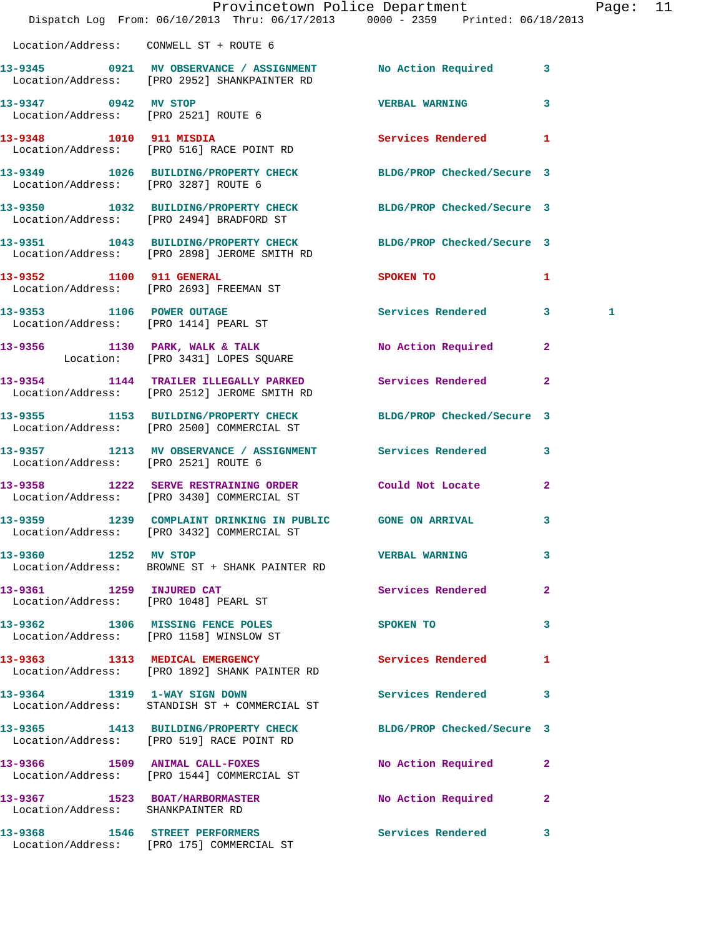|                                        | Provincetown Police Department<br>Dispatch Log From: 06/10/2013 Thru: 06/17/2013 0000 - 2359 Printed: 06/18/2013 |                             |                | Page: 11 |  |
|----------------------------------------|------------------------------------------------------------------------------------------------------------------|-----------------------------|----------------|----------|--|
| Location/Address: CONWELL ST + ROUTE 6 |                                                                                                                  |                             |                |          |  |
|                                        | 13-9345 0921 MV OBSERVANCE / ASSIGNMENT No Action Required 3<br>Location/Address: [PRO 2952] SHANKPAINTER RD     |                             |                |          |  |
| 13-9347 0942 MV STOP                   | Location/Address: [PRO 2521] ROUTE 6                                                                             | VERBAL WARNING 3            |                |          |  |
|                                        | 13-9348 1010 911 MISDIA 2008 Services Rendered 1<br>Location/Address: [PRO 516] RACE POINT RD                    |                             |                |          |  |
|                                        | 13-9349 1026 BUILDING/PROPERTY CHECK BLDG/PROP Checked/Secure 3<br>Location/Address: [PRO 3287] ROUTE 6          |                             |                |          |  |
|                                        | 13-9350 1032 BUILDING/PROPERTY CHECK BLDG/PROP Checked/Secure 3<br>Location/Address: [PRO 2494] BRADFORD ST      |                             |                |          |  |
|                                        | 13-9351 1043 BUILDING/PROPERTY CHECK BLDG/PROP Checked/Secure 3<br>Location/Address: [PRO 2898] JEROME SMITH RD  |                             |                |          |  |
|                                        | 13-9352 1100 911 GENERAL<br>Location/Address: [PRO 2693] FREEMAN ST                                              | SPOKEN TO AND THE SPOKEN TO | $\mathbf{1}$   |          |  |
|                                        | 13-9353 1106 POWER OUTAGE<br>Location/Address: [PRO 1414] PEARL ST                                               | Services Rendered 3         |                | 1        |  |
|                                        | 13-9356 1130 PARK, WALK & TALK<br>Location: [PRO 3431] LOPES SQUARE                                              | No Action Required 2        |                |          |  |
|                                        | 13-9354 1144 TRAILER ILLEGALLY PARKED Services Rendered<br>Location/Address: [PRO 2512] JEROME SMITH RD          |                             | $\overline{2}$ |          |  |
|                                        | 13-9355 1153 BUILDING/PROPERTY CHECK BLDG/PROP Checked/Secure 3<br>Location/Address: [PRO 2500] COMMERCIAL ST    |                             |                |          |  |
| Location/Address: [PRO 2521] ROUTE 6   | 13-9357 1213 MV OBSERVANCE / ASSIGNMENT Services Rendered 3                                                      |                             |                |          |  |
|                                        | 13-9358 1222 SERVE RESTRAINING ORDER Could Not Locate 2<br>Location/Address: [PRO 3430] COMMERCIAL ST            |                             |                |          |  |
|                                        | 13-9359 1239 COMPLAINT DRINKING IN PUBLIC GONE ON ARRIVAL<br>Location/Address: [PRO 3432] COMMERCIAL ST          |                             | $\mathbf{3}$   |          |  |
| 13-9360 1252 MV STOP                   | Location/Address: BROWNE ST + SHANK PAINTER RD                                                                   | <b>VERBAL WARNING</b>       | 3              |          |  |
| 13-9361 1259 INJURED CAT               | Location/Address: [PRO 1048] PEARL ST                                                                            | Services Rendered           | $\overline{2}$ |          |  |
|                                        | 13-9362 1306 MISSING FENCE POLES<br>Location/Address: [PRO 1158] WINSLOW ST                                      | SPOKEN TO                   | 3              |          |  |
|                                        | 13-9363 1313 MEDICAL EMERGENCY<br>Location/Address: [PRO 1892] SHANK PAINTER RD                                  | Services Rendered           | 1              |          |  |
|                                        | 13-9364 1319 1-WAY SIGN DOWN<br>Location/Address: STANDISH ST + COMMERCIAL ST                                    | Services Rendered           | 3              |          |  |
|                                        | 13-9365 1413 BUILDING/PROPERTY CHECK BLDG/PROP Checked/Secure 3<br>Location/Address: [PRO 519] RACE POINT RD     |                             |                |          |  |
|                                        | 13-9366 1509 ANIMAL CALL-FOXES<br>Location/Address: [PRO 1544] COMMERCIAL ST                                     | No Action Required          | 2              |          |  |
| Location/Address: SHANKPAINTER RD      | 13-9367 1523 BOAT/HARBORMASTER                                                                                   | No Action Required          | $\overline{2}$ |          |  |
|                                        | 13-9368 1546 STREET PERFORMERS<br>Location/Address: [PRO 175] COMMERCIAL ST                                      | Services Rendered 3         |                |          |  |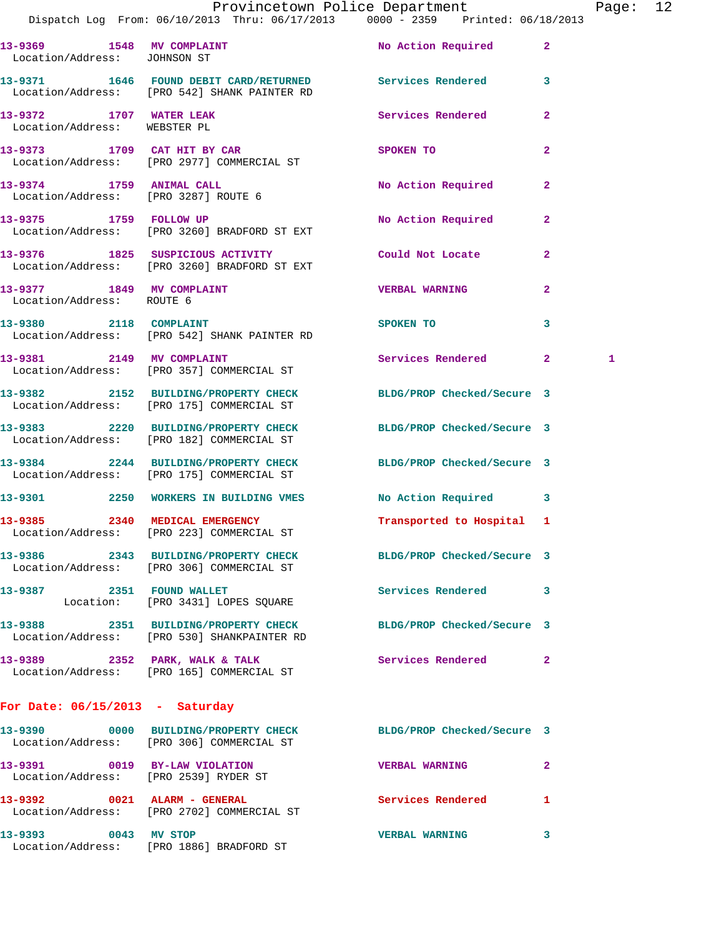|                                                                        | Dispatch Log From: 06/10/2013 Thru: 06/17/2013   0000 - 2359   Printed: 06/18/2013                             | Provincetown Police Department         |                | Page: | 12 |
|------------------------------------------------------------------------|----------------------------------------------------------------------------------------------------------------|----------------------------------------|----------------|-------|----|
| Location/Address: JOHNSON ST                                           | 13-9369 1548 MV COMPLAINT 1999 No Action Required 2                                                            |                                        |                |       |    |
|                                                                        | 13-9371 1646 FOUND DEBIT CARD/RETURNED Services Rendered 3<br>Location/Address: [PRO 542] SHANK PAINTER RD     |                                        |                |       |    |
| 13-9372 1707 WATER LEAK<br>Location/Address: WEBSTER PL                |                                                                                                                | <b>Services Rendered 22 Services</b> 2 |                |       |    |
|                                                                        | 13-9373 1709 CAT HIT BY CAR<br>Location/Address: [PRO 2977] COMMERCIAL ST                                      | SPOKEN TO                              | $\overline{2}$ |       |    |
| Location/Address: [PRO 3287] ROUTE 6                                   | 13-9374 1759 ANIMAL CALL                                                                                       | No Action Required 2                   |                |       |    |
| 13-9375 1759 FOLLOW UP                                                 | Location/Address: [PRO 3260] BRADFORD ST EXT                                                                   | No Action Required 2                   |                |       |    |
|                                                                        | 13-9376 1825 SUSPICIOUS ACTIVITY Could Not Locate<br>Location/Address: [PRO 3260] BRADFORD ST EXT              |                                        | $\mathbf{2}$   |       |    |
| 13-9377 1849 MV COMPLAINT<br>Location/Address: ROUTE 6                 |                                                                                                                | <b>VERBAL WARNING</b>                  | $\mathbf{2}$   |       |    |
|                                                                        | 13-9380 2118 COMPLAINT<br>Location/Address: [PRO 542] SHANK PAINTER RD                                         | SPOKEN TO                              | 3              |       |    |
|                                                                        | 13-9381 2149 MV COMPLAINT<br>Location/Address: [PRO 357] COMMERCIAL ST                                         | Services Rendered 2                    |                | 1     |    |
|                                                                        | 13-9382 2152 BUILDING/PROPERTY CHECK BLDG/PROP Checked/Secure 3<br>Location/Address: [PRO 175] COMMERCIAL ST   |                                        |                |       |    |
|                                                                        | 13-9383 2220 BUILDING/PROPERTY CHECK BLDG/PROP Checked/Secure 3<br>Location/Address: [PRO 182] COMMERCIAL ST   |                                        |                |       |    |
|                                                                        | 13-9384 2244 BUILDING/PROPERTY CHECK BLDG/PROP Checked/Secure 3<br>Location/Address: [PRO 175] COMMERCIAL ST   |                                        |                |       |    |
|                                                                        | 13-9301 2250 WORKERS IN BUILDING VMES                                                                          | No Action Required 3                   |                |       |    |
|                                                                        | 13-9385 2340 MEDICAL EMERGENCY<br>Location/Address: [PRO 223] COMMERCIAL ST                                    | Transported to Hospital 1              |                |       |    |
|                                                                        | 13-9386 2343 BUILDING/PROPERTY CHECK BLDG/PROP Checked/Secure 3<br>Location/Address: [PRO 306] COMMERCIAL ST   |                                        |                |       |    |
|                                                                        | 13-9387 2351 FOUND WALLET<br>Location: [PRO 3431] LOPES SQUARE                                                 | Services Rendered 3                    |                |       |    |
|                                                                        | 13-9388 2351 BUILDING/PROPERTY CHECK BLDG/PROP Checked/Secure 3<br>Location/Address: [PRO 530] SHANKPAINTER RD |                                        |                |       |    |
|                                                                        | 13-9389 2352 PARK, WALK & TALK<br>Location/Address: [PRO 165] COMMERCIAL ST                                    | Services Rendered 2                    |                |       |    |
| For Date: $06/15/2013$ - Saturday                                      |                                                                                                                |                                        |                |       |    |
|                                                                        | 13-9390 0000 BUILDING/PROPERTY CHECK BLDG/PROP Checked/Secure 3<br>Location/Address: [PRO 306] COMMERCIAL ST   |                                        |                |       |    |
| 13-9391 0019 BY-LAW VIOLATION<br>Location/Address: [PRO 2539] RYDER ST |                                                                                                                | <b>VERBAL WARNING</b>                  | $\mathbf{2}$   |       |    |
| 13-9392 0021 ALARM - GENERAL                                           |                                                                                                                | Services Rendered 1                    |                |       |    |

**13-9393 0043 MV STOP VERBAL WARNING 3**  Location/Address: [PRO 1886] BRADFORD ST

Location/Address: [PRO 2702] COMMERCIAL ST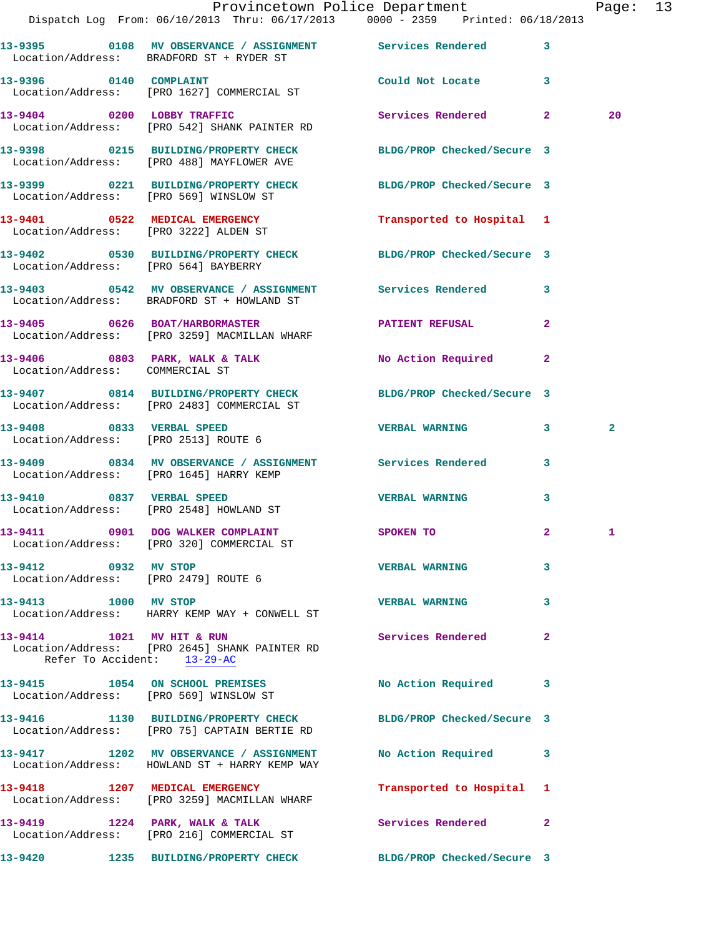|                                      | Provincetown Police Department Fage: 13<br>Dispatch Log From: 06/10/2013 Thru: 06/17/2013 0000 - 2359 Printed: 06/18/2013 |                           |                |                |  |
|--------------------------------------|---------------------------------------------------------------------------------------------------------------------------|---------------------------|----------------|----------------|--|
|                                      | 13-9395 0108 MV OBSERVANCE / ASSIGNMENT Services Rendered<br>Location/Address: BRADFORD ST + RYDER ST                     |                           | 3              |                |  |
| 13-9396 0140 COMPLAINT               | Location/Address: [PRO 1627] COMMERCIAL ST                                                                                | Could Not Locate 3        |                |                |  |
|                                      | 13-9404 0200 LOBBY TRAFFIC<br>Location/Address: [PRO 542] SHANK PAINTER RD                                                | Services Rendered 2       |                | 20             |  |
|                                      | 13-9398 0215 BUILDING/PROPERTY CHECK BLDG/PROP Checked/Secure 3<br>Location/Address: [PRO 488] MAYFLOWER AVE              |                           |                |                |  |
|                                      | 13-9399 0221 BUILDING/PROPERTY CHECK BLDG/PROP Checked/Secure 3<br>Location/Address: [PRO 569] WINSLOW ST                 |                           |                |                |  |
|                                      | 13-9401 0522 MEDICAL EMERGENCY<br>Location/Address: [PRO 3222] ALDEN ST                                                   | Transported to Hospital 1 |                |                |  |
| Location/Address: [PRO 564] BAYBERRY | 13-9402 0530 BUILDING/PROPERTY CHECK BLDG/PROP Checked/Secure 3                                                           |                           |                |                |  |
|                                      | 13-9403 0542 MV OBSERVANCE / ASSIGNMENT Services Rendered<br>Location/Address: BRADFORD ST + HOWLAND ST                   |                           | $\mathbf{3}$   |                |  |
|                                      | 13-9405 0626 BOAT/HARBORMASTER PATIENT REFUSAL<br>Location/Address: [PRO 3259] MACMILLAN WHARF                            |                           | $\overline{2}$ |                |  |
| Location/Address: COMMERCIAL ST      | 13-9406 0803 PARK, WALK & TALK NO Action Required 2                                                                       |                           |                |                |  |
|                                      | 13-9407 0814 BUILDING/PROPERTY CHECK BLDG/PROP Checked/Secure 3<br>Location/Address: [PRO 2483] COMMERCIAL ST             |                           |                |                |  |
| Location/Address: [PRO 2513] ROUTE 6 | 13-9408 0833 VERBAL SPEED                                                                                                 | <b>VERBAL WARNING 3</b>   |                | $\overline{a}$ |  |
|                                      | 13-9409 0834 MV OBSERVANCE / ASSIGNMENT Services Rendered 3<br>Location/Address: [PRO 1645] HARRY KEMP                    |                           |                |                |  |
|                                      | 13-9410 0837 VERBAL SPEED<br>Location/Address: [PRO 2548] HOWLAND ST                                                      | <b>VERBAL WARNING</b>     | 3              |                |  |
|                                      | 13-9411 0901 DOG WALKER COMPLAINT<br>Location/Address: [PRO 320] COMMERCIAL ST                                            | <b>SPOKEN TO</b>          |                |                |  |
| 13-9412 0932 MV STOP                 | Location/Address: [PRO 2479] ROUTE 6                                                                                      | <b>VERBAL WARNING</b>     | 3              |                |  |
| 13-9413 1000 MV STOP                 | Location/Address: HARRY KEMP WAY + CONWELL ST                                                                             | <b>VERBAL WARNING</b>     | 3              |                |  |
| Refer To Accident: 13-29-AC          | 13-9414 1021 MV HIT & RUN<br>Location/Address: [PRO 2645] SHANK PAINTER RD                                                | <b>Services Rendered</b>  | $\mathbf{2}$   |                |  |
|                                      | 13-9415 1054 ON SCHOOL PREMISES No Action Required 3<br>Location/Address: [PRO 569] WINSLOW ST                            |                           |                |                |  |
|                                      | 13-9416 1130 BUILDING/PROPERTY CHECK BLDG/PROP Checked/Secure 3<br>Location/Address: [PRO 75] CAPTAIN BERTIE RD           |                           |                |                |  |
|                                      | 13-9417 1202 MV OBSERVANCE / ASSIGNMENT No Action Required 3<br>Location/Address: HOWLAND ST + HARRY KEMP WAY             |                           |                |                |  |
|                                      | 13-9418 1207 MEDICAL EMERGENCY<br>Location/Address: [PRO 3259] MACMILLAN WHARF                                            | Transported to Hospital 1 |                |                |  |
|                                      | 13-9419 1224 PARK, WALK & TALK<br>Location/Address: [PRO 216] COMMERCIAL ST                                               | Services Rendered         | $\mathbf{2}$   |                |  |
|                                      | 13-9420 1235 BUILDING/PROPERTY CHECK BLDG/PROP Checked/Secure 3                                                           |                           |                |                |  |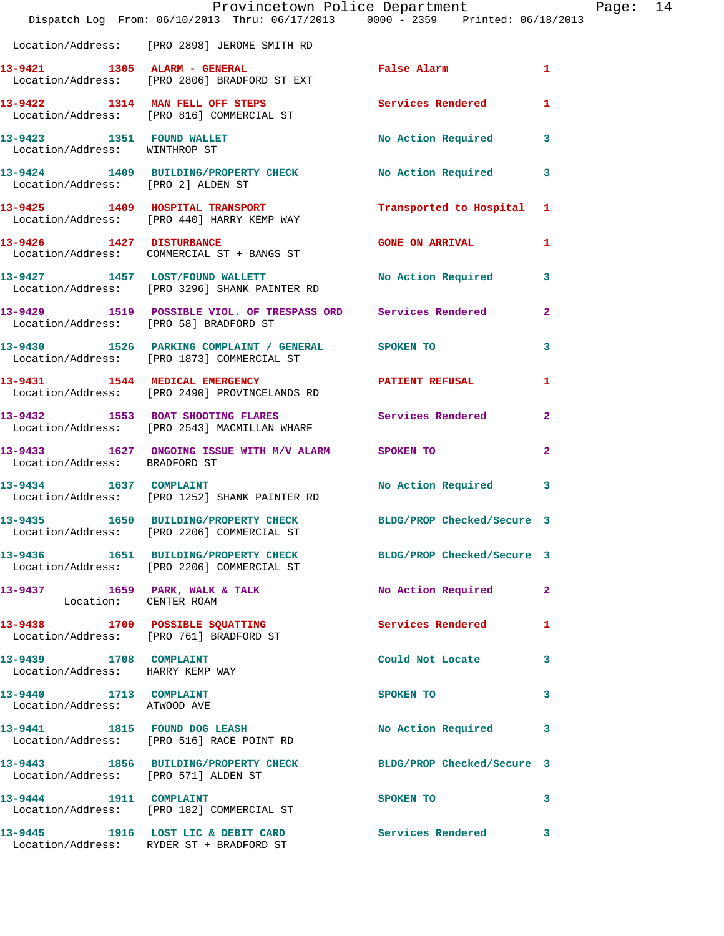|                                                            | Dispatch Log From: 06/10/2013 Thru: 06/17/2013 0000 - 2359 Printed: 06/18/2013                                | Provincetown Police Department |              | Page: 14 |  |
|------------------------------------------------------------|---------------------------------------------------------------------------------------------------------------|--------------------------------|--------------|----------|--|
|                                                            | Location/Address: [PRO 2898] JEROME SMITH RD                                                                  |                                |              |          |  |
|                                                            | 13-9421 1305 ALARM - GENERAL<br>Location/Address: [PRO 2806] BRADFORD ST EXT                                  | False Alarm 1                  |              |          |  |
|                                                            | 13-9422 1314 MAN FELL OFF STEPS Services Rendered 1<br>Location/Address: [PRO 816] COMMERCIAL ST              |                                |              |          |  |
| 13-9423 1351 FOUND WALLET<br>Location/Address: WINTHROP ST |                                                                                                               | No Action Required 3           |              |          |  |
|                                                            | 13-9424 1409 BUILDING/PROPERTY CHECK No Action Required 3<br>Location/Address: [PRO 2] ALDEN ST               |                                |              |          |  |
|                                                            | 13-9425 1409 HOSPITAL TRANSPORT Transported to Hospital 1<br>Location/Address: [PRO 440] HARRY KEMP WAY       |                                |              |          |  |
|                                                            | 13-9426 1427 DISTURBANCE<br>Location/Address: COMMERCIAL ST + BANGS ST                                        | <b>GONE ON ARRIVAL 1</b>       |              |          |  |
|                                                            | 13-9427 1457 LOST/FOUND WALLETT<br>Location/Address: [PRO 3296] SHANK PAINTER RD                              | No Action Required 3           |              |          |  |
| Location/Address: [PRO 58] BRADFORD ST                     | 13-9429 1519 POSSIBLE VIOL. OF TRESPASS ORD Services Rendered 2                                               |                                |              |          |  |
|                                                            | 13-9430 1526 PARKING COMPLAINT / GENERAL SPOKEN TO<br>Location/Address: [PRO 1873] COMMERCIAL ST              |                                | 3            |          |  |
|                                                            | 13-9431 1544 MEDICAL EMERGENCY 1 PATIENT REFUSAL 1<br>Location/Address: [PRO 2490] PROVINCELANDS RD           |                                |              |          |  |
|                                                            | 13-9432 1553 BOAT SHOOTING FLARES Services Rendered<br>Location/Address: [PRO 2543] MACMILLAN WHARF           |                                | $\mathbf{2}$ |          |  |
| Location/Address: BRADFORD ST                              | 13-9433 1627 ONGOING ISSUE WITH M/V ALARM SPOKEN TO                                                           |                                | $\mathbf{2}$ |          |  |
|                                                            | 13-9434 1637 COMPLAINT<br>Location/Address: [PRO 1252] SHANK PAINTER RD                                       | No Action Required 3           |              |          |  |
| 13-9435                                                    | 1650 BUILDING/PROPERTY CHECK BLDG/PROP Checked/Secure 3<br>Location/Address: [PRO 2206] COMMERCIAL ST         |                                |              |          |  |
|                                                            | 13-9436 1651 BUILDING/PROPERTY CHECK BLDG/PROP Checked/Secure 3<br>Location/Address: [PRO 2206] COMMERCIAL ST |                                |              |          |  |
| Location: CENTER ROAM                                      | 13-9437 1659 PARK, WALK & TALK                                                                                | No Action Required             | $\mathbf{2}$ |          |  |
|                                                            | 13-9438 1700 POSSIBLE SQUATTING<br>Location/Address: [PRO 761] BRADFORD ST                                    | Services Rendered              | $\mathbf{1}$ |          |  |
| 13-9439 1708 COMPLAINT<br>Location/Address: HARRY KEMP WAY |                                                                                                               | Could Not Locate 3             |              |          |  |
| 13-9440 1713 COMPLAINT<br>Location/Address: ATWOOD AVE     |                                                                                                               | SPOKEN TO                      | $\mathbf{3}$ |          |  |
|                                                            | 13-9441 1815 FOUND DOG LEASH<br>Location/Address: [PRO 516] RACE POINT RD                                     | No Action Required 3           |              |          |  |
| Location/Address: [PRO 571] ALDEN ST                       | 13-9443 1856 BUILDING/PROPERTY CHECK BLDG/PROP Checked/Secure 3                                               |                                |              |          |  |
| 13-9444 1911 COMPLAINT                                     | Location/Address: [PRO 182] COMMERCIAL ST                                                                     | SPOKEN TO 3                    |              |          |  |
|                                                            | 13-9445 1916 LOST LIC & DEBIT CARD Services Rendered 3<br>Location/Address: RYDER ST + BRADFORD ST            |                                |              |          |  |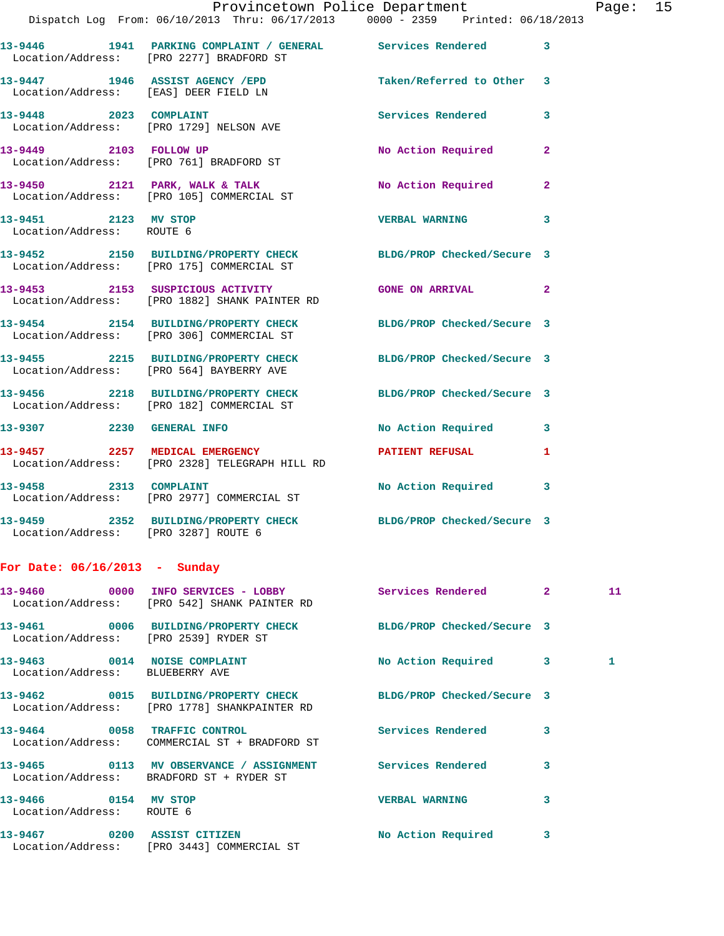|                                                   | Provincetown Police Department<br>Dispatch Log From: 06/10/2013 Thru: 06/17/2013 0000 - 2359 Printed: 06/18/2013 |                        |              | Page: 15 |  |
|---------------------------------------------------|------------------------------------------------------------------------------------------------------------------|------------------------|--------------|----------|--|
|                                                   | 13-9446 1941 PARKING COMPLAINT / GENERAL Services Rendered 3<br>Location/Address: [PRO 2277] BRADFORD ST         |                        |              |          |  |
|                                                   | 13-9447 1946 ASSIST AGENCY / EPD Taken/Referred to Other 3<br>Location/Address: [EAS] DEER FIELD LN              |                        |              |          |  |
|                                                   | 13-9448 2023 COMPLAINT<br>Location/Address: [PRO 1729] NELSON AVE                                                | Services Rendered      | 3            |          |  |
| 13-9449 2103 FOLLOW UP                            | Location/Address: [PRO 761] BRADFORD ST                                                                          | No Action Required 2   |              |          |  |
|                                                   | $13-9450$ 2121 PARK, WALK & TALK<br>Location/Address: [PRO 105] COMMERCIAL ST                                    | No Action Required 2   |              |          |  |
| 13-9451 2123 MV STOP<br>Location/Address: ROUTE 6 |                                                                                                                  | <b>VERBAL WARNING</b>  | 3            |          |  |
|                                                   | 13-9452<br>Location/Address: [PRO 175] COMMERCIAL ST       BLDG/PROP Checked/Secure 3                            |                        |              |          |  |
|                                                   | 13-9453 2153 SUSPICIOUS ACTIVITY<br>Location/Address: [PRO 1882] SHANK PAINTER RD                                | GONE ON ARRIVAL 2      |              |          |  |
|                                                   | 13-9454 2154 BUILDING/PROPERTY CHECK BLDG/PROP Checked/Secure 3<br>Location/Address: [PRO 306] COMMERCIAL ST     |                        |              |          |  |
|                                                   | 13-9455 2215 BUILDING/PROPERTY CHECK BLDG/PROP Checked/Secure 3<br>Location/Address: [PRO 564] BAYBERRY AVE      |                        |              |          |  |
|                                                   | 13-9456 2218 BUILDING/PROPERTY CHECK BLDG/PROP Checked/Secure 3<br>Location/Address: [PRO 182] COMMERCIAL ST     |                        |              |          |  |
|                                                   | 13-9307 2230 GENERAL INFO                                                                                        | No Action Required 3   |              |          |  |
|                                                   | 13-9457 2257 MEDICAL EMERGENCY<br>Location/Address: [PRO 2328] TELEGRAPH HILL RD                                 | <b>PATIENT REFUSAL</b> | $\mathbf{1}$ |          |  |
| 13-9458 2313 COMPLAINT                            | Location/Address: [PRO 2977] COMMERCIAL ST                                                                       | No Action Required 3   |              |          |  |
| Location/Address: [PRO 3287] ROUTE 6              | 13-9459 2352 BUILDING/PROPERTY CHECK BLDG/PROP Checked/Secure 3                                                  |                        |              |          |  |
| For Date: $06/16/2013$ - Sunday                   |                                                                                                                  |                        |              |          |  |

|                                                                 | Location/Address: [PRO 542] SHANK PAINTER RD                                                                        |                       | $2^{\circ}$             | 11           |
|-----------------------------------------------------------------|---------------------------------------------------------------------------------------------------------------------|-----------------------|-------------------------|--------------|
|                                                                 | 13-9461  0006 BUILDING/PROPERTY CHECK BLDG/PROP Checked/Secure 3<br>Location/Address: [PRO 2539] RYDER ST           |                       |                         |              |
| 13-9463 0014 NOISE COMPLAINT<br>Location/Address: BLUEBERRY AVE |                                                                                                                     | No Action Required 3  |                         | $\mathbf{1}$ |
|                                                                 | 13-9462 0015 BUILDING/PROPERTY CHECK BLDG/PROP Checked/Secure 3<br>Location/Address: [PRO 1778] SHANKPAINTER RD     |                       |                         |              |
| 13-9464 0058 TRAFFIC CONTROL                                    | Location/Address: COMMERCIAL ST + BRADFORD ST                                                                       | Services Rendered     | $\overline{\mathbf{3}}$ |              |
|                                                                 | 13-9465       0113   MV OBSERVANCE / ASSIGNMENT       Services Rendered<br>Location/Address: BRADFORD ST + RYDER ST |                       | 3                       |              |
| 13-9466 0154 MV STOP<br>Location/Address: ROUTE 6               |                                                                                                                     | <b>VERBAL WARNING</b> | 3                       |              |
| 13-9467 0200 ASSIST CITIZEN                                     | Location/Address: [PRO 3443] COMMERCIAL ST                                                                          | No Action Required    | 3                       |              |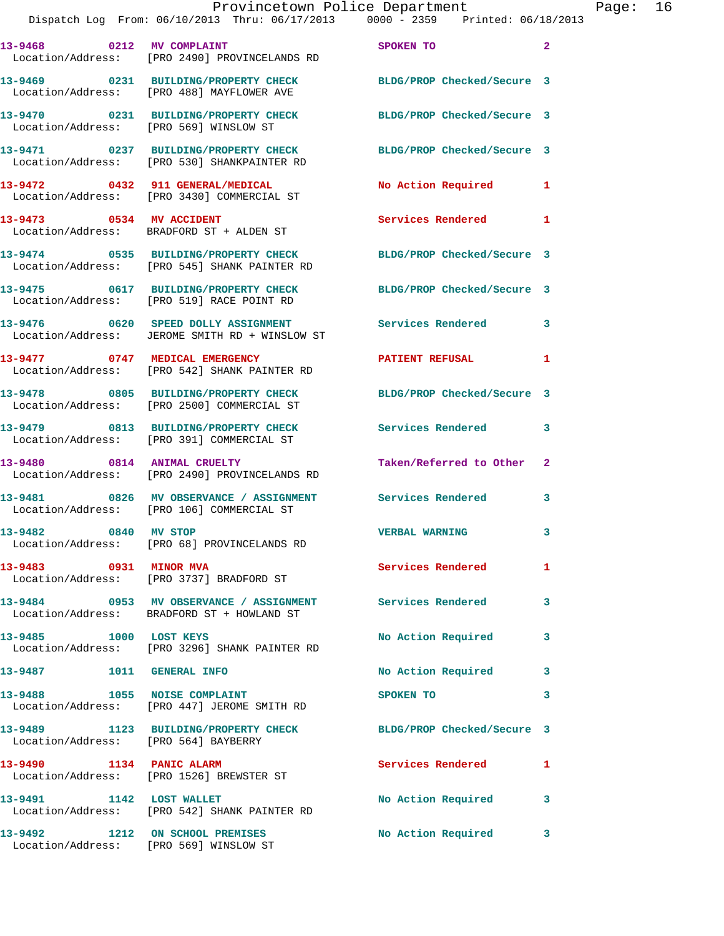|                                        | Provincetown Police Department                                                                                  |                            |                |
|----------------------------------------|-----------------------------------------------------------------------------------------------------------------|----------------------------|----------------|
|                                        | Dispatch Log From: 06/10/2013 Thru: 06/17/2013 0000 - 2359 Printed: 06/18/2013                                  |                            |                |
|                                        | 13-9468 0212 MV COMPLAINT<br>Location/Address: [PRO 2490] PROVINCELANDS RD                                      | SPOKEN TO                  | $\mathbf{2}$   |
|                                        | 13-9469 0231 BUILDING/PROPERTY CHECK BLDG/PROP Checked/Secure 3<br>Location/Address: [PRO 488] MAYFLOWER AVE    |                            |                |
| Location/Address: [PRO 569] WINSLOW ST | 13-9470 0231 BUILDING/PROPERTY CHECK                                                                            | BLDG/PROP Checked/Secure 3 |                |
|                                        | 13-9471 0237 BUILDING/PROPERTY CHECK<br>Location/Address: [PRO 530] SHANKPAINTER RD                             | BLDG/PROP Checked/Secure 3 |                |
|                                        | 13-9472 0432 911 GENERAL/MEDICAL<br>Location/Address: [PRO 3430] COMMERCIAL ST                                  | No Action Required         | 1              |
|                                        | 13-9473 0534 MV ACCIDENT<br>Location/Address: BRADFORD ST + ALDEN ST                                            | Services Rendered          | 1              |
|                                        | 13-9474 0535 BUILDING/PROPERTY CHECK BLDG/PROP Checked/Secure 3<br>Location/Address: [PRO 545] SHANK PAINTER RD |                            |                |
|                                        | 13-9475 0617 BUILDING/PROPERTY CHECK<br>Location/Address: [PRO 519] RACE POINT RD                               | BLDG/PROP Checked/Secure 3 |                |
|                                        | 13-9476 0620 SPEED DOLLY ASSIGNMENT<br>Location/Address: JEROME SMITH RD + WINSLOW ST                           | Services Rendered          | 3              |
|                                        | 13-9477 0747 MEDICAL EMERGENCY<br>Location/Address: [PRO 542] SHANK PAINTER RD                                  | <b>PATIENT REFUSAL</b>     | 1              |
|                                        | 13-9478 0805 BUILDING/PROPERTY CHECK<br>Location/Address: [PRO 2500] COMMERCIAL ST                              | BLDG/PROP Checked/Secure 3 |                |
|                                        | 13-9479 0813 BUILDING/PROPERTY CHECK<br>Location/Address: [PRO 391] COMMERCIAL ST                               | <b>Services Rendered</b>   | 3              |
| 13-9480 0814 ANIMAL CRUELTY            | Location/Address: [PRO 2490] PROVINCELANDS RD                                                                   | Taken/Referred to Other    | $\overline{2}$ |
|                                        | 13-9481 0826 MV OBSERVANCE / ASSIGNMENT<br>Location/Address: [PRO 106] COMMERCIAL ST                            | Services Rendered          | 3              |
| 13-9482 0840 MV STOP                   | Location/Address: [PRO 68] PROVINCELANDS RD                                                                     | <b>VERBAL WARNING</b>      |                |
| 13-9483 0931 MINOR MVA                 | Location/Address: [PRO 3737] BRADFORD ST                                                                        | Services Rendered          | 1              |
|                                        | 13-9484 0953 MV OBSERVANCE / ASSIGNMENT Services Rendered<br>Location/Address: BRADFORD ST + HOWLAND ST         |                            | 3              |
| 13-9485 1000 LOST KEYS                 | Location/Address: [PRO 3296] SHANK PAINTER RD                                                                   | No Action Required         | 3              |
| 13-9487    1011    GENERAL INFO        |                                                                                                                 | No Action Required         | 3              |
| 13-9488 1055 NOISE COMPLAINT           | Location/Address: [PRO 447] JEROME SMITH RD                                                                     | SPOKEN TO                  | 3              |
| Location/Address: [PRO 564] BAYBERRY   | 13-9489 1123 BUILDING/PROPERTY CHECK                                                                            | BLDG/PROP Checked/Secure 3 |                |
|                                        | 13-9490 1134 PANIC ALARM<br>Location/Address: [PRO 1526] BREWSTER ST                                            | Services Rendered          | 1              |
| 1142 LOST WALLET<br>13-9491            | Location/Address: [PRO 542] SHANK PAINTER RD                                                                    | No Action Required         | 3              |
| 13-9492 1212 ON SCHOOL PREMISES        | Location/Address: [PRO 569] WINSLOW ST                                                                          | No Action Required         | 3              |

Page:  $16$ <br> $13$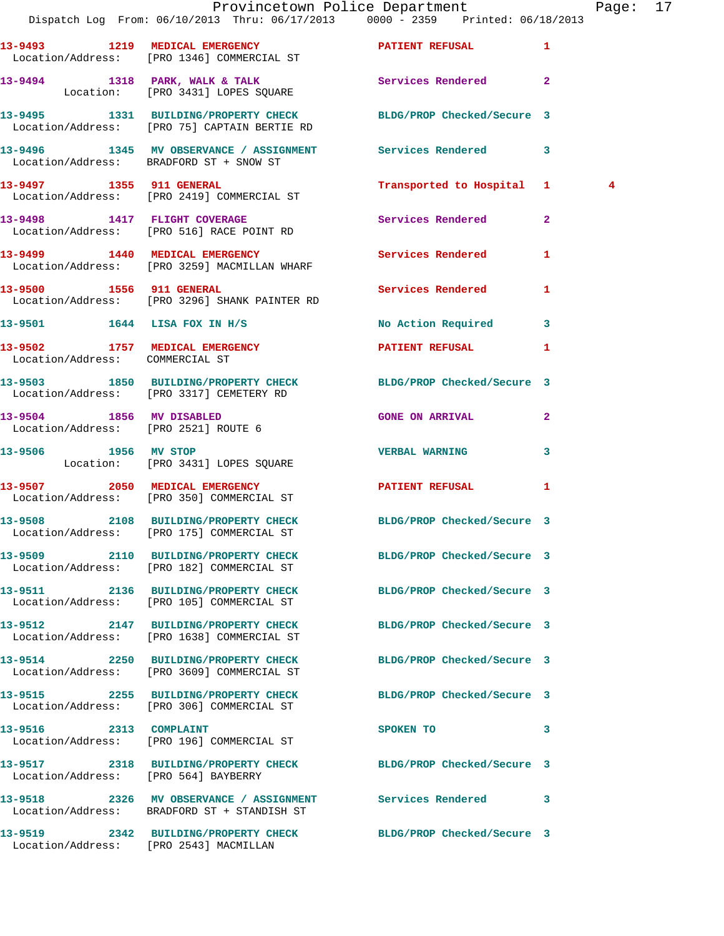|                                                                   |                                                                                                                 | Provincetown Police Department         | Page: 17       |  |
|-------------------------------------------------------------------|-----------------------------------------------------------------------------------------------------------------|----------------------------------------|----------------|--|
|                                                                   | Dispatch Log From: 06/10/2013 Thru: 06/17/2013 0000 - 2359 Printed: 06/18/2013                                  |                                        |                |  |
|                                                                   | 13-9493 1219 MEDICAL EMERGENCY <b>12 PATIENT REFUSAL</b> 1<br>Location/Address: [PRO 1346] COMMERCIAL ST        |                                        |                |  |
|                                                                   | 13-9494 1318 PARK, WALK & TALK 1998 Services Rendered 2<br>Location: [PRO 3431] LOPES SQUARE                    |                                        |                |  |
|                                                                   | 13-9495 1331 BUILDING/PROPERTY CHECK BLDG/PROP Checked/Secure 3<br>Location/Address: [PRO 75] CAPTAIN BERTIE RD |                                        |                |  |
|                                                                   | 13-9496 1345 MV OBSERVANCE / ASSIGNMENT Services Rendered 3<br>Location/Address: BRADFORD ST + SNOW ST          |                                        |                |  |
|                                                                   | 13-9497 1355 911 GENERAL<br>Location/Address: [PRO 2419] COMMERCIAL ST                                          | Transported to Hospital 1              | $\overline{4}$ |  |
|                                                                   | 13-9498 1417 FLIGHT COVERAGE<br>Location/Address: [PRO 516] RACE POINT RD                                       | Services Rendered 2                    |                |  |
|                                                                   | 13-9499 1440 MEDICAL EMERGENCY<br>Location/Address: [PRO 3259] MACMILLAN WHARF                                  | Services Rendered 1                    |                |  |
|                                                                   | 13-9500 1556 911 GENERAL<br>Location/Address: [PRO 3296] SHANK PAINTER RD                                       | Services Rendered<br>$\mathbf{1}$      |                |  |
|                                                                   | 13-9501 1644 LISA FOX IN H/S                                                                                    | No Action Required 3                   |                |  |
| 13-9502 1757 MEDICAL EMERGENCY<br>Location/Address: COMMERCIAL ST |                                                                                                                 | <b>PATIENT REFUSAL</b><br>$\mathbf{1}$ |                |  |
|                                                                   | 13-9503 1850 BUILDING/PROPERTY CHECK BLDG/PROP Checked/Secure 3<br>Location/Address: [PRO 3317] CEMETERY RD     |                                        |                |  |
| 13-9504 1856 MV DISABLED                                          | Location/Address: [PRO 2521] ROUTE 6                                                                            | <b>GONE ON ARRIVAL</b><br>$\mathbf{2}$ |                |  |
|                                                                   | 13-9506 1956 MV STOP<br>Location: [PRO 3431] LOPES SQUARE                                                       | VERBAL WARNING 3                       |                |  |
|                                                                   | 13-9507 2050 MEDICAL EMERGENCY PATIENT REFUSAL<br>Location/Address: [PRO 350] COMMERCIAL ST                     | 1                                      |                |  |
|                                                                   | 13-9508 2108 BUILDING/PROPERTY CHECK BLDG/PROP Checked/Secure 3<br>Location/Address: [PRO 175] COMMERCIAL ST    |                                        |                |  |
|                                                                   | 13-9509 2110 BUILDING/PROPERTY CHECK BLDG/PROP Checked/Secure 3<br>Location/Address: [PRO 182] COMMERCIAL ST    |                                        |                |  |
|                                                                   | 13-9511 2136 BUILDING/PROPERTY CHECK BLDG/PROP Checked/Secure 3<br>Location/Address: [PRO 105] COMMERCIAL ST    |                                        |                |  |
|                                                                   | 13-9512 2147 BUILDING/PROPERTY CHECK BLDG/PROP Checked/Secure 3<br>Location/Address: [PRO 1638] COMMERCIAL ST   |                                        |                |  |
|                                                                   | 13-9514 2250 BUILDING/PROPERTY CHECK<br>Location/Address: [PRO 3609] COMMERCIAL ST                              | BLDG/PROP Checked/Secure 3             |                |  |
|                                                                   | 13-9515 2255 BUILDING/PROPERTY CHECK BLDG/PROP Checked/Secure 3<br>Location/Address: [PRO 306] COMMERCIAL ST    |                                        |                |  |
|                                                                   | 13-9516 2313 COMPLAINT<br>Location/Address: [PRO 196] COMMERCIAL ST                                             | 3<br>SPOKEN TO                         |                |  |
| Location/Address: [PRO 564] BAYBERRY                              | 13-9517 2318 BUILDING/PROPERTY CHECK BLDG/PROP Checked/Secure 3                                                 |                                        |                |  |
|                                                                   | 13-9518 2326 MV OBSERVANCE / ASSIGNMENT Services Rendered 3<br>Location/Address: BRADFORD ST + STANDISH ST      |                                        |                |  |
|                                                                   | 13-9519 2342 BUILDING/PROPERTY CHECK BLDG/PROP Checked/Secure 3<br>Location/Address: [PRO 2543] MACMILLAN       |                                        |                |  |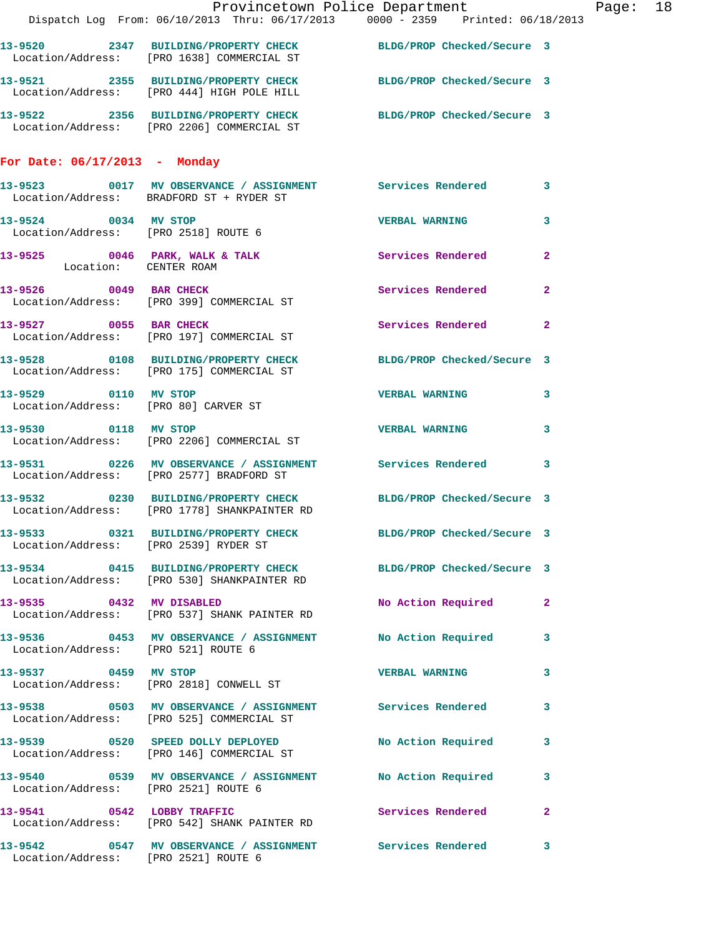|                                       | Provincetown Police Department Page: 18<br>Dispatch Log From: 06/10/2013 Thru: 06/17/2013 0000 - 2359 Printed: 06/18/2013 |                       |                |  |
|---------------------------------------|---------------------------------------------------------------------------------------------------------------------------|-----------------------|----------------|--|
|                                       | 13-9520 2347 BUILDING/PROPERTY CHECK BLDG/PROP Checked/Secure 3                                                           |                       |                |  |
|                                       | Location/Address: [PRO 1638] COMMERCIAL ST                                                                                |                       |                |  |
|                                       | 13-9521 2355 BUILDING/PROPERTY CHECK BLDG/PROP Checked/Secure 3<br>Location/Address: [PRO 444] HIGH POLE HILL             |                       |                |  |
|                                       | 13-9522 2356 BUILDING/PROPERTY CHECK BLDG/PROP Checked/Secure 3<br>Location/Address: [PRO 2206] COMMERCIAL ST             |                       |                |  |
| For Date: 06/17/2013 - Monday         |                                                                                                                           |                       |                |  |
|                                       | 13-9523 0017 MV OBSERVANCE / ASSIGNMENT Services Rendered<br>Location/Address: BRADFORD ST + RYDER ST                     |                       | 3              |  |
| 13-9524 0034 MV STOP                  | Location/Address: [PRO 2518] ROUTE 6                                                                                      | <b>VERBAL WARNING</b> | 3              |  |
|                                       | 13-9525 0046 PARK, WALK & TALK Services Rendered Location: CENTER ROAM                                                    |                       | $\overline{2}$ |  |
|                                       | 13-9526 0049 BAR CHECK Services Rendered<br>Location/Address: [PRO 399] COMMERCIAL ST                                     |                       | $\mathbf{2}$   |  |
|                                       | 13-9527 0055 BAR CHECK<br>Location/Address: [PRO 197] COMMERCIAL ST                                                       | Services Rendered     | $\mathbf{2}$   |  |
|                                       | 13-9528 0108 BUILDING/PROPERTY CHECK BLDG/PROP Checked/Secure 3<br>Location/Address: [PRO 175] COMMERCIAL ST              |                       |                |  |
| 13-9529 0110 MV STOP                  | Location/Address: [PRO 80] CARVER ST                                                                                      | <b>VERBAL WARNING</b> | $\mathbf{3}$   |  |
|                                       | 13-9530 0118 MV STOP<br>Location/Address: [PRO 2206] COMMERCIAL ST                                                        | <b>VERBAL WARNING</b> | 3              |  |
|                                       | 13-9531 0226 MV OBSERVANCE / ASSIGNMENT Services Rendered 3<br>Location/Address: [PRO 2577] BRADFORD ST                   |                       |                |  |
|                                       | 13-9532 0230 BUILDING/PROPERTY CHECK BLDG/PROP Checked/Secure 3<br>Location/Address: [PRO 1778] SHANKPAINTER RD           |                       |                |  |
| Location/Address: [PRO 2539] RYDER ST | 13-9533 0321 BUILDING/PROPERTY CHECK BLDG/PROP Checked/Secure 3                                                           |                       |                |  |
|                                       | 13-9534 0415 BUILDING/PROPERTY CHECK BLDG/PROP Checked/Secure 3<br>Location/Address: [PRO 530] SHANKPAINTER RD            |                       |                |  |
|                                       | 13-9535 0432 MV DISABLED<br>Location/Address: [PRO 537] SHANK PAINTER RD                                                  | No Action Required    | $\mathbf{2}$   |  |
| Location/Address: [PRO 521] ROUTE 6   | 13-9536 0453 MV OBSERVANCE / ASSIGNMENT No Action Required                                                                |                       | 3              |  |
| 13-9537 0459 MV STOP                  | Location/Address: [PRO 2818] CONWELL ST                                                                                   | <b>VERBAL WARNING</b> | 3              |  |
|                                       | 13-9538 		 0503 MV OBSERVANCE / ASSIGNMENT Services Rendered<br>Location/Address: [PRO 525] COMMERCIAL ST                 |                       | 3              |  |
|                                       | 13-9539 		 0520 SPEED DOLLY DEPLOYED 		 No Action Required<br>Location/Address: [PRO 146] COMMERCIAL ST                   |                       | $\mathbf{3}$   |  |
|                                       | 13-9540 0539 MV OBSERVANCE / ASSIGNMENT No Action Required<br>Location/Address: [PRO 2521] ROUTE 6                        |                       | 3              |  |
|                                       | 13-9541 0542 LOBBY TRAFFIC Services Rendered<br>Location/Address: [PRO 542] SHANK PAINTER RD                              |                       | $\overline{2}$ |  |
| Location/Address: [PRO 2521] ROUTE 6  | 13-9542 0547 MV OBSERVANCE / ASSIGNMENT Services Rendered                                                                 |                       | 3              |  |
|                                       |                                                                                                                           |                       |                |  |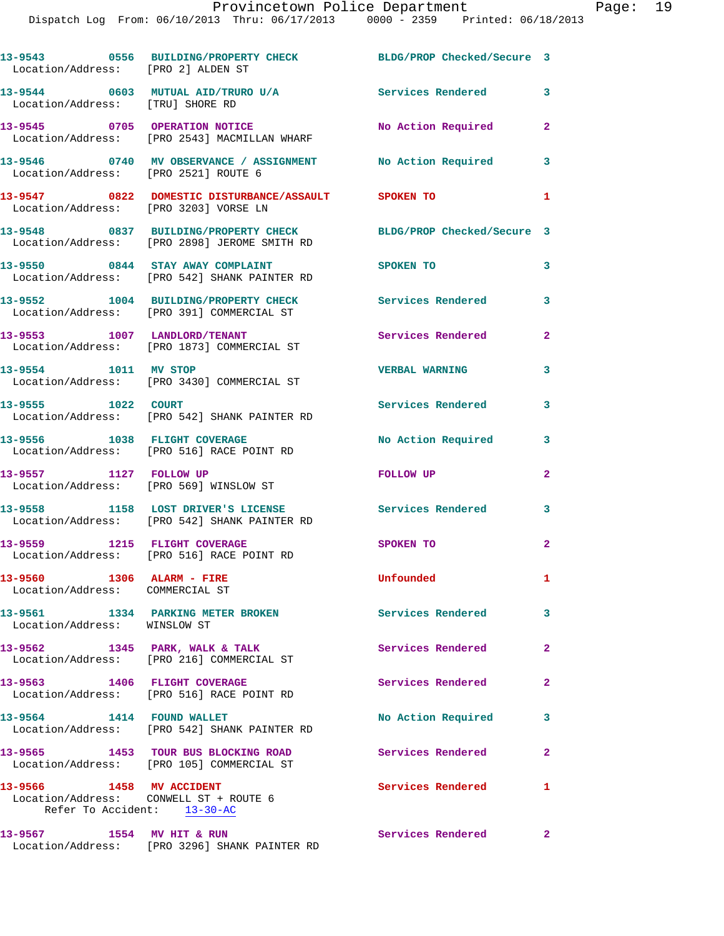Dispatch Log From: 06/10/2013 Thru: 06/17/2013 0000 - 2359 Printed: 06/18/2013

| Location/Address: [PRO 2] ALDEN ST                                                                | 13-9543 0556 BUILDING/PROPERTY CHECK BLDG/PROP Checked/Secure 3                                                 |                          |                |
|---------------------------------------------------------------------------------------------------|-----------------------------------------------------------------------------------------------------------------|--------------------------|----------------|
| Location/Address: [TRU] SHORE RD                                                                  | 13-9544 0603 MUTUAL AID/TRURO U/A                                                                               | <b>Services Rendered</b> | 3              |
|                                                                                                   | 13-9545 0705 OPERATION NOTICE<br>Location/Address: [PRO 2543] MACMILLAN WHARF                                   | No Action Required       | $\mathbf{2}$   |
| Location/Address: [PRO 2521] ROUTE 6                                                              | 13-9546 0740 MV OBSERVANCE / ASSIGNMENT No Action Required                                                      |                          | 3              |
| Location/Address: [PRO 3203] VORSE LN                                                             | 13-9547 0822 DOMESTIC DISTURBANCE/ASSAULT SPOKEN TO                                                             |                          | 1              |
|                                                                                                   | 13-9548 0837 BUILDING/PROPERTY CHECK BLDG/PROP Checked/Secure 3<br>Location/Address: [PRO 2898] JEROME SMITH RD |                          |                |
|                                                                                                   | 13-9550 0844 STAY AWAY COMPLAINT<br>Location/Address: [PRO 542] SHANK PAINTER RD                                | SPOKEN TO                | 3              |
|                                                                                                   | 13-9552 1004 BUILDING/PROPERTY CHECK<br>Location/Address: [PRO 391] COMMERCIAL ST                               | <b>Services Rendered</b> | 3              |
|                                                                                                   | 13-9553 1007 LANDLORD/TENANT<br>Location/Address: [PRO 1873] COMMERCIAL ST                                      | Services Rendered        | $\mathbf{2}$   |
| 13-9554 1011 MV STOP                                                                              | Location/Address: [PRO 3430] COMMERCIAL ST                                                                      | <b>VERBAL WARNING</b>    | 3              |
| 13-9555 1022 COURT                                                                                | Location/Address: [PRO 542] SHANK PAINTER RD                                                                    | Services Rendered        | 3              |
| 13-9556 1038 FLIGHT COVERAGE                                                                      | Location/Address: [PRO 516] RACE POINT RD                                                                       | No Action Required       | 3              |
| 13-9557 1127 FOLLOW UP<br>Location/Address: [PRO 569] WINSLOW ST                                  |                                                                                                                 | FOLLOW UP                | $\mathbf{2}$   |
|                                                                                                   | 13-9558 1158 LOST DRIVER'S LICENSE<br>Location/Address: [PRO 542] SHANK PAINTER RD                              | Services Rendered        | 3              |
| 13-9559 1215 FLIGHT COVERAGE                                                                      | Location/Address: [PRO 516] RACE POINT RD                                                                       | <b>SPOKEN TO</b>         | $\overline{a}$ |
| 13-9560 1306 ALARM - FIRE<br>Location/Address: COMMERCIAL ST                                      |                                                                                                                 | Unfounded                | $\mathbf{1}$   |
| Location/Address: WINSLOW ST                                                                      | 13-9561 1334 PARKING METER BROKEN                                                                               | <b>Services Rendered</b> | 3              |
|                                                                                                   | $13-9562$ 1345 PARK, WALK & TALK<br>Location/Address: [PRO 216] COMMERCIAL ST                                   | Services Rendered        | $\mathbf{2}$   |
| 13-9563 1406 FLIGHT COVERAGE                                                                      | Location/Address: [PRO 516] RACE POINT RD                                                                       | Services Rendered        | $\mathbf{2}$   |
| 13-9564 1414 FOUND WALLET                                                                         | Location/Address: [PRO 542] SHANK PAINTER RD                                                                    | No Action Required       | 3              |
|                                                                                                   | 13-9565 1453 TOUR BUS BLOCKING ROAD<br>Location/Address: [PRO 105] COMMERCIAL ST                                | Services Rendered        | $\mathbf{2}$   |
| 13-9566 1458 MV ACCIDENT<br>Location/Address: CONWELL ST + ROUTE 6<br>Refer To Accident: 13-30-AC |                                                                                                                 | Services Rendered        | -1             |
| 13-9567 1554 MV HIT & RUN                                                                         | Location/Address: [PRO 3296] SHANK PAINTER RD                                                                   | Services Rendered 2      |                |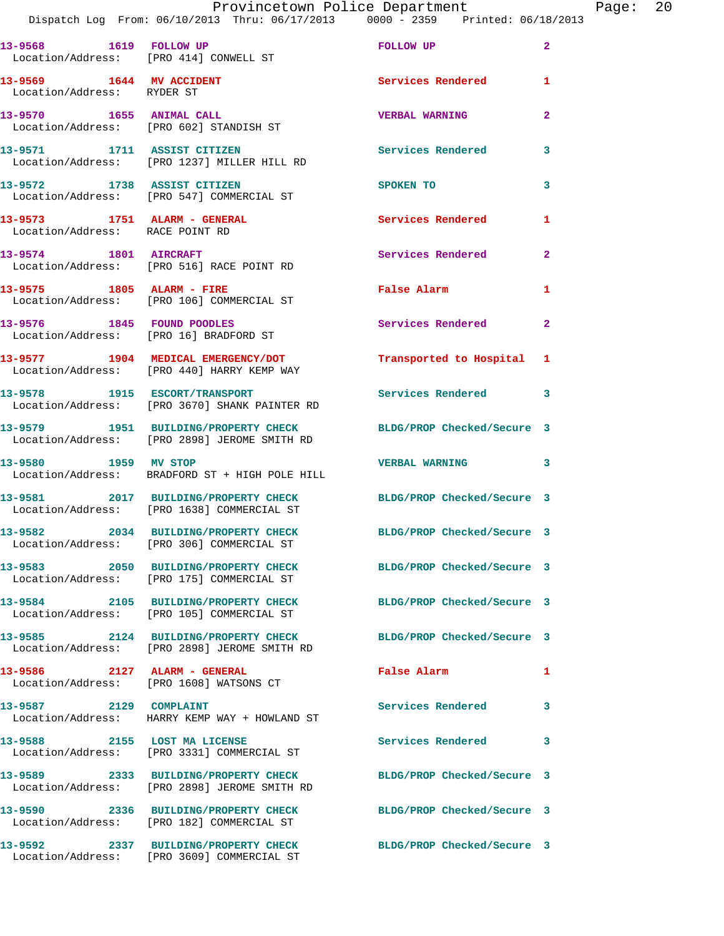|                                 | Provincetown Police Department<br>Dispatch Log From: 06/10/2013 Thru: 06/17/2013 0000 - 2359 Printed: 06/18/2013 |                            | Page: 20       |
|---------------------------------|------------------------------------------------------------------------------------------------------------------|----------------------------|----------------|
|                                 | 13-9568 1619 FOLLOW UP<br>Location/Address: [PRO 414] CONWELL ST                                                 | FOLLOW UP                  | $\mathbf{2}$   |
| Location/Address: RYDER ST      | 13-9569 1644 MV ACCIDENT                                                                                         | Services Rendered          | 1              |
|                                 | 13-9570 1655 ANIMAL CALL<br>Location/Address: [PRO 602] STANDISH ST                                              | <b>VERBAL WARNING</b>      | $\mathbf{2}$   |
|                                 | 13-9571 1711 ASSIST CITIZEN<br>Location/Address: [PRO 1237] MILLER HILL RD                                       | Services Rendered          | 3              |
|                                 | 13-9572 1738 ASSIST CITIZEN<br>Location/Address: [PRO 547] COMMERCIAL ST                                         | SPOKEN TO                  | 3              |
| Location/Address: RACE POINT RD | 13-9573 1751 ALARM - GENERAL                                                                                     | Services Rendered          | 1              |
|                                 | 13-9574 1801 AIRCRAFT<br>Location/Address: [PRO 516] RACE POINT RD                                               | Services Rendered          | $\mathbf{2}$   |
|                                 | 13-9575 1805 ALARM - FIRE<br>Location/Address: [PRO 106] COMMERCIAL ST                                           | False Alarm                | 1              |
|                                 | 13-9576 1845 FOUND POODLES<br>Location/Address: [PRO 16] BRADFORD ST                                             | Services Rendered          | $\overline{2}$ |
|                                 | 13-9577 1904 MEDICAL EMERGENCY/DOT<br>Location/Address: [PRO 440] HARRY KEMP WAY                                 | Transported to Hospital 1  |                |
|                                 | 13-9578 1915 ESCORT/TRANSPORT Services Rendered 3<br>Location/Address: [PRO 3670] SHANK PAINTER RD               |                            |                |
|                                 | 13-9579 1951 BUILDING/PROPERTY CHECK BLDG/PROP Checked/Secure 3<br>Location/Address: [PRO 2898] JEROME SMITH RD  |                            |                |
| 13-9580 1959 MV STOP            | Location/Address: BRADFORD ST + HIGH POLE HILL                                                                   | VERBAL WARNING 3           |                |
|                                 | 13-9581 2017 BUILDING/PROPERTY CHECK BLDG/PROP Checked/Secure 3<br>Location/Address: [PRO 1638] COMMERCIAL ST    |                            |                |
|                                 | 13-9582 2034 BUILDING/PROPERTY CHECK<br>Location/Address: [PRO 306] COMMERCIAL ST                                | BLDG/PROP Checked/Secure 3 |                |
|                                 | 13-9583 2050 BUILDING/PROPERTY CHECK BLDG/PROP Checked/Secure 3<br>Location/Address: [PRO 175] COMMERCIAL ST     |                            |                |
|                                 | 13-9584 2105 BUILDING/PROPERTY CHECK<br>Location/Address: [PRO 105] COMMERCIAL ST                                | BLDG/PROP Checked/Secure 3 |                |
|                                 | 13-9585 2124 BUILDING/PROPERTY CHECK BLDG/PROP Checked/Secure 3<br>Location/Address: [PRO 2898] JEROME SMITH RD  |                            |                |
|                                 | 13-9586 2127 ALARM - GENERAL<br>Location/Address: [PRO 1608] WATSONS CT                                          | False Alarm                | 1              |
|                                 | 13-9587 2129 COMPLAINT<br>Location/Address: HARRY KEMP WAY + HOWLAND ST                                          | Services Rendered          | 3              |
| 13-9588 2155 LOST MA LICENSE    | Location/Address: [PRO 3331] COMMERCIAL ST                                                                       | Services Rendered          | 3              |
|                                 | 13-9589 2333 BUILDING/PROPERTY CHECK<br>Location/Address: [PRO 2898] JEROME SMITH RD                             | BLDG/PROP Checked/Secure 3 |                |
|                                 | 13-9590 2336 BUILDING/PROPERTY CHECK BLDG/PROP Checked/Secure 3<br>Location/Address: [PRO 182] COMMERCIAL ST     |                            |                |
|                                 | 13-9592 2337 BUILDING/PROPERTY CHECK BLDG/PROP Checked/Secure 3<br>Location/Address: [PRO 3609] COMMERCIAL ST    |                            |                |